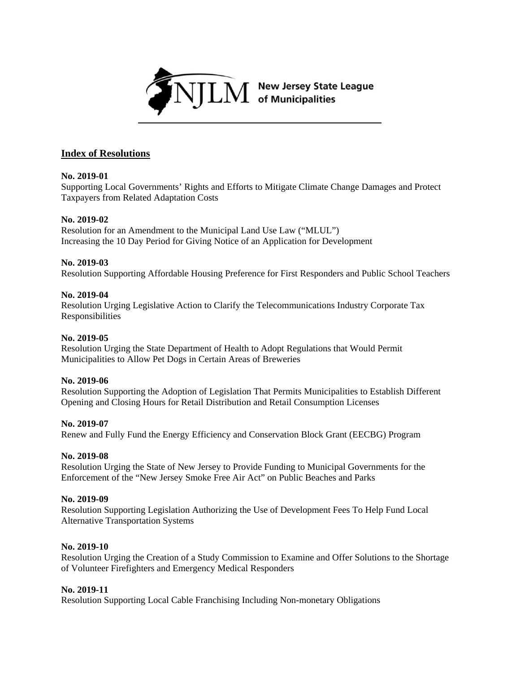

# **New Jersey State League** of Municipalities

#### **Index of Resolutions**

#### **No. 2019-01**

Supporting Local Governments' Rights and Efforts to Mitigate Climate Change Damages and Protect Taxpayers from Related Adaptation Costs

### **No. 2019-02**

Resolution for an Amendment to the Municipal Land Use Law ("MLUL") Increasing the 10 Day Period for Giving Notice of an Application for Development

### **No. 2019-03**

Resolution Supporting Affordable Housing Preference for First Responders and Public School Teachers

### **No. 2019-04**

Resolution Urging Legislative Action to Clarify the Telecommunications Industry Corporate Tax Responsibilities

#### **No. 2019-05**

Resolution Urging the State Department of Health to Adopt Regulations that Would Permit Municipalities to Allow Pet Dogs in Certain Areas of Breweries

#### **No. 2019-06**

Resolution Supporting the Adoption of Legislation That Permits Municipalities to Establish Different Opening and Closing Hours for Retail Distribution and Retail Consumption Licenses

#### **No. 2019-07**

Renew and Fully Fund the Energy Efficiency and Conservation Block Grant (EECBG) Program

#### **No. 2019-08**

Resolution Urging the State of New Jersey to Provide Funding to Municipal Governments for the Enforcement of the "New Jersey Smoke Free Air Act" on Public Beaches and Parks

#### **No. 2019-09**

Resolution Supporting Legislation Authorizing the Use of Development Fees To Help Fund Local Alternative Transportation Systems

#### **No. 2019-10**

Resolution Urging the Creation of a Study Commission to Examine and Offer Solutions to the Shortage of Volunteer Firefighters and Emergency Medical Responders

#### **No. 2019-11**

Resolution Supporting Local Cable Franchising Including Non-monetary Obligations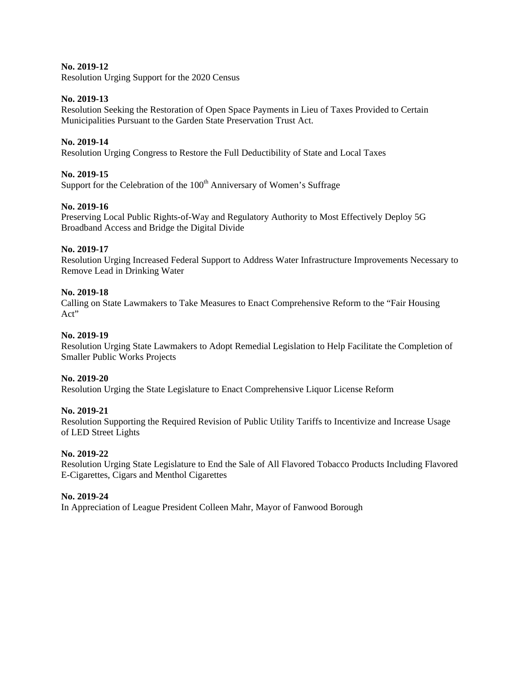#### **No. 2019-12**

Resolution Urging Support for the 2020 Census

#### **No. 2019-13**

Resolution Seeking the Restoration of Open Space Payments in Lieu of Taxes Provided to Certain Municipalities Pursuant to the Garden State Preservation Trust Act.

#### **No. 2019-14**

Resolution Urging Congress to Restore the Full Deductibility of State and Local Taxes

#### **No. 2019-15**

Support for the Celebration of the  $100<sup>th</sup>$  Anniversary of Women's Suffrage

#### **No. 2019-16**

Preserving Local Public Rights-of-Way and Regulatory Authority to Most Effectively Deploy 5G Broadband Access and Bridge the Digital Divide

#### **No. 2019-17**

Resolution Urging Increased Federal Support to Address Water Infrastructure Improvements Necessary to Remove Lead in Drinking Water

#### **No. 2019-18**

Calling on State Lawmakers to Take Measures to Enact Comprehensive Reform to the "Fair Housing Act"

#### **No. 2019-19**

Resolution Urging State Lawmakers to Adopt Remedial Legislation to Help Facilitate the Completion of Smaller Public Works Projects

#### **No. 2019-20**

Resolution Urging the State Legislature to Enact Comprehensive Liquor License Reform

#### **No. 2019-21**

Resolution Supporting the Required Revision of Public Utility Tariffs to Incentivize and Increase Usage of LED Street Lights

#### **No. 2019-22**

Resolution Urging State Legislature to End the Sale of All Flavored Tobacco Products Including Flavored E-Cigarettes, Cigars and Menthol Cigarettes

#### **No. 2019-24**

In Appreciation of League President Colleen Mahr, Mayor of Fanwood Borough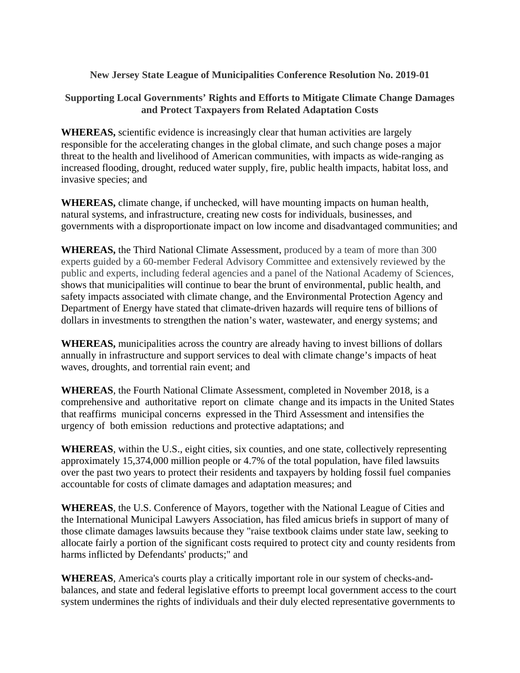## **Supporting Local Governments' Rights and Efforts to Mitigate Climate Change Damages and Protect Taxpayers from Related Adaptation Costs**

**WHEREAS,** scientific evidence is increasingly clear that human activities are largely responsible for the accelerating changes in the global climate, and such change poses a major threat to the health and livelihood of American communities, with impacts as wide-ranging as increased flooding, drought, reduced water supply, fire, public health impacts, habitat loss, and invasive species; and

**WHEREAS,** climate change, if unchecked, will have mounting impacts on human health, natural systems, and infrastructure, creating new costs for individuals, businesses, and governments with a disproportionate impact on low income and disadvantaged communities; and

**WHEREAS,** the Third National Climate Assessment, produced by a team of more than 300 experts guided by a 60-member Federal Advisory Committee and extensively reviewed by the public and experts, including federal agencies and a panel of the National Academy of Sciences, shows that municipalities will continue to bear the brunt of environmental, public health, and safety impacts associated with climate change, and the Environmental Protection Agency and Department of Energy have stated that climate-driven hazards will require tens of billions of dollars in investments to strengthen the nation's water, wastewater, and energy systems; and

**WHEREAS,** municipalities across the country are already having to invest billions of dollars annually in infrastructure and support services to deal with climate change's impacts of heat waves, droughts, and torrential rain event; and

**WHEREAS**, the Fourth National Climate Assessment, completed in November 2018, is a comprehensive and authoritative report on climate change and its impacts in the United States that reaffirms municipal concerns expressed in the Third Assessment and intensifies the urgency of both emission reductions and protective adaptations; and

**WHEREAS**, within the U.S., eight cities, six counties, and one state, collectively representing approximately 15,374,000 million people or 4.7% of the total population, have filed lawsuits over the past two years to protect their residents and taxpayers by holding fossil fuel companies accountable for costs of climate damages and adaptation measures; and

**WHEREAS**, the U.S. Conference of Mayors, together with the National League of Cities and the International Municipal Lawyers Association, has filed amicus briefs in support of many of those climate damages lawsuits because they "raise textbook claims under state law, seeking to allocate fairly a portion of the significant costs required to protect city and county residents from harms inflicted by Defendants' products;" and

**WHEREAS**, America's courts play a critically important role in our system of checks-andbalances, and state and federal legislative efforts to preempt local government access to the court system undermines the rights of individuals and their duly elected representative governments to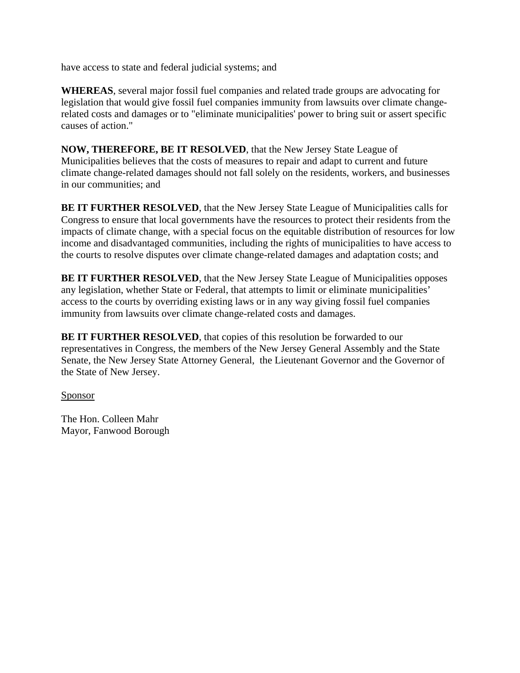have access to state and federal judicial systems; and

**WHEREAS**, several major fossil fuel companies and related trade groups are advocating for legislation that would give fossil fuel companies immunity from lawsuits over climate changerelated costs and damages or to "eliminate municipalities' power to bring suit or assert specific causes of action."

**NOW, THEREFORE, BE IT RESOLVED**, that the New Jersey State League of Municipalities believes that the costs of measures to repair and adapt to current and future climate change-related damages should not fall solely on the residents, workers, and businesses in our communities; and

**BE IT FURTHER RESOLVED**, that the New Jersey State League of Municipalities calls for Congress to ensure that local governments have the resources to protect their residents from the impacts of climate change, with a special focus on the equitable distribution of resources for low income and disadvantaged communities, including the rights of municipalities to have access to the courts to resolve disputes over climate change-related damages and adaptation costs; and

**BE IT FURTHER RESOLVED**, that the New Jersey State League of Municipalities opposes any legislation, whether State or Federal, that attempts to limit or eliminate municipalities' access to the courts by overriding existing laws or in any way giving fossil fuel companies immunity from lawsuits over climate change-related costs and damages.

**BE IT FURTHER RESOLVED, that copies of this resolution be forwarded to our** representatives in Congress, the members of the New Jersey General Assembly and the State Senate, the New Jersey State Attorney General, the Lieutenant Governor and the Governor of the State of New Jersey.

#### Sponsor

The Hon. Colleen Mahr Mayor, Fanwood Borough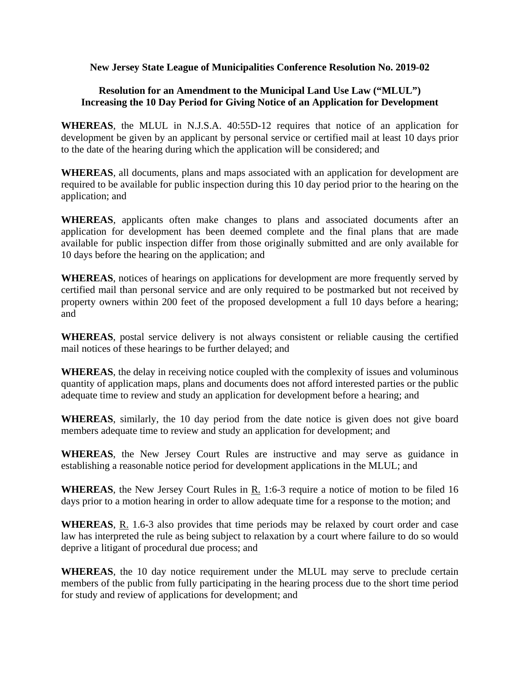## **Resolution for an Amendment to the Municipal Land Use Law ("MLUL") Increasing the 10 Day Period for Giving Notice of an Application for Development**

**WHEREAS**, the MLUL in N.J.S.A. 40:55D-12 requires that notice of an application for development be given by an applicant by personal service or certified mail at least 10 days prior to the date of the hearing during which the application will be considered; and

**WHEREAS**, all documents, plans and maps associated with an application for development are required to be available for public inspection during this 10 day period prior to the hearing on the application; and

**WHEREAS**, applicants often make changes to plans and associated documents after an application for development has been deemed complete and the final plans that are made available for public inspection differ from those originally submitted and are only available for 10 days before the hearing on the application; and

**WHEREAS**, notices of hearings on applications for development are more frequently served by certified mail than personal service and are only required to be postmarked but not received by property owners within 200 feet of the proposed development a full 10 days before a hearing; and

**WHEREAS**, postal service delivery is not always consistent or reliable causing the certified mail notices of these hearings to be further delayed; and

**WHEREAS**, the delay in receiving notice coupled with the complexity of issues and voluminous quantity of application maps, plans and documents does not afford interested parties or the public adequate time to review and study an application for development before a hearing; and

**WHEREAS**, similarly, the 10 day period from the date notice is given does not give board members adequate time to review and study an application for development; and

**WHEREAS**, the New Jersey Court Rules are instructive and may serve as guidance in establishing a reasonable notice period for development applications in the MLUL; and

WHEREAS, the New Jersey Court Rules in R. 1:6-3 require a notice of motion to be filed 16 days prior to a motion hearing in order to allow adequate time for a response to the motion; and

**WHEREAS**, R. 1.6-3 also provides that time periods may be relaxed by court order and case law has interpreted the rule as being subject to relaxation by a court where failure to do so would deprive a litigant of procedural due process; and

**WHEREAS**, the 10 day notice requirement under the MLUL may serve to preclude certain members of the public from fully participating in the hearing process due to the short time period for study and review of applications for development; and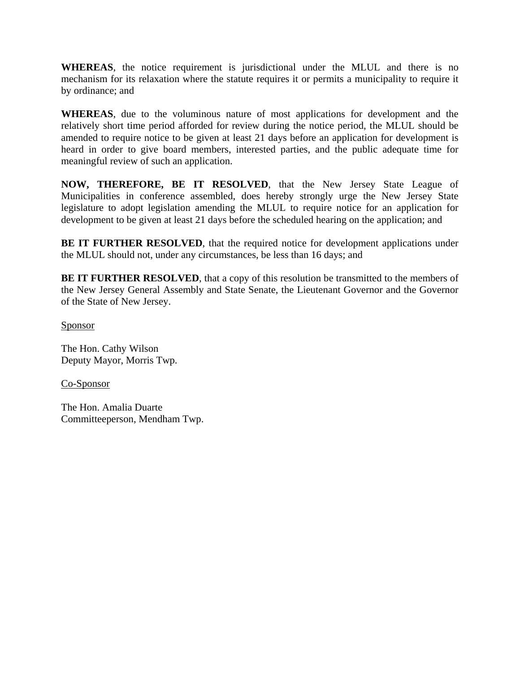**WHEREAS**, the notice requirement is jurisdictional under the MLUL and there is no mechanism for its relaxation where the statute requires it or permits a municipality to require it by ordinance; and

**WHEREAS**, due to the voluminous nature of most applications for development and the relatively short time period afforded for review during the notice period, the MLUL should be amended to require notice to be given at least 21 days before an application for development is heard in order to give board members, interested parties, and the public adequate time for meaningful review of such an application.

**NOW, THEREFORE, BE IT RESOLVED**, that the New Jersey State League of Municipalities in conference assembled, does hereby strongly urge the New Jersey State legislature to adopt legislation amending the MLUL to require notice for an application for development to be given at least 21 days before the scheduled hearing on the application; and

**BE IT FURTHER RESOLVED**, that the required notice for development applications under the MLUL should not, under any circumstances, be less than 16 days; and

**BE IT FURTHER RESOLVED**, that a copy of this resolution be transmitted to the members of the New Jersey General Assembly and State Senate, the Lieutenant Governor and the Governor of the State of New Jersey.

**Sponsor** 

The Hon. Cathy Wilson Deputy Mayor, Morris Twp.

Co-Sponsor

The Hon. Amalia Duarte Committeeperson, Mendham Twp.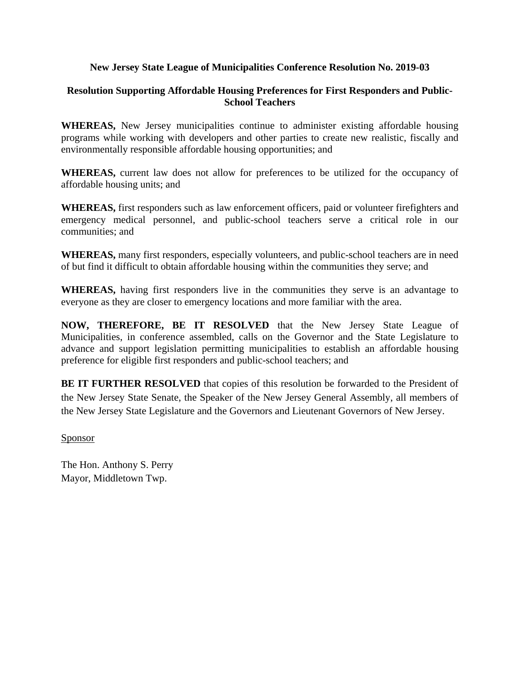## **Resolution Supporting Affordable Housing Preferences for First Responders and Public-School Teachers**

**WHEREAS,** New Jersey municipalities continue to administer existing affordable housing programs while working with developers and other parties to create new realistic, fiscally and environmentally responsible affordable housing opportunities; and

**WHEREAS,** current law does not allow for preferences to be utilized for the occupancy of affordable housing units; and

**WHEREAS,** first responders such as law enforcement officers, paid or volunteer firefighters and emergency medical personnel, and public-school teachers serve a critical role in our communities; and

**WHEREAS,** many first responders, especially volunteers, and public-school teachers are in need of but find it difficult to obtain affordable housing within the communities they serve; and

**WHEREAS,** having first responders live in the communities they serve is an advantage to everyone as they are closer to emergency locations and more familiar with the area.

**NOW, THEREFORE, BE IT RESOLVED** that the New Jersey State League of Municipalities, in conference assembled, calls on the Governor and the State Legislature to advance and support legislation permitting municipalities to establish an affordable housing preference for eligible first responders and public-school teachers; and

**BE IT FURTHER RESOLVED** that copies of this resolution be forwarded to the President of the New Jersey State Senate, the Speaker of the New Jersey General Assembly, all members of the New Jersey State Legislature and the Governors and Lieutenant Governors of New Jersey.

#### Sponsor

The Hon. Anthony S. Perry Mayor, Middletown Twp.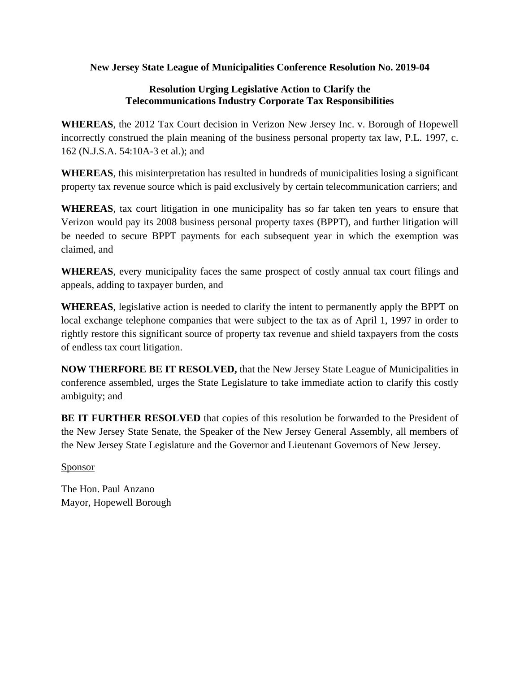# **Resolution Urging Legislative Action to Clarify the Telecommunications Industry Corporate Tax Responsibilities**

**WHEREAS**, the 2012 Tax Court decision in Verizon New Jersey Inc. v. Borough of Hopewell incorrectly construed the plain meaning of the business personal property tax law, P.L. 1997, c. 162 (N.J.S.A. 54:10A-3 et al.); and

**WHEREAS**, this misinterpretation has resulted in hundreds of municipalities losing a significant property tax revenue source which is paid exclusively by certain telecommunication carriers; and

**WHEREAS**, tax court litigation in one municipality has so far taken ten years to ensure that Verizon would pay its 2008 business personal property taxes (BPPT), and further litigation will be needed to secure BPPT payments for each subsequent year in which the exemption was claimed, and

**WHEREAS**, every municipality faces the same prospect of costly annual tax court filings and appeals, adding to taxpayer burden, and

**WHEREAS**, legislative action is needed to clarify the intent to permanently apply the BPPT on local exchange telephone companies that were subject to the tax as of April 1, 1997 in order to rightly restore this significant source of property tax revenue and shield taxpayers from the costs of endless tax court litigation.

**NOW THERFORE BE IT RESOLVED,** that the New Jersey State League of Municipalities in conference assembled, urges the State Legislature to take immediate action to clarify this costly ambiguity; and

**BE IT FURTHER RESOLVED** that copies of this resolution be forwarded to the President of the New Jersey State Senate, the Speaker of the New Jersey General Assembly, all members of the New Jersey State Legislature and the Governor and Lieutenant Governors of New Jersey.

Sponsor

The Hon. Paul Anzano Mayor, Hopewell Borough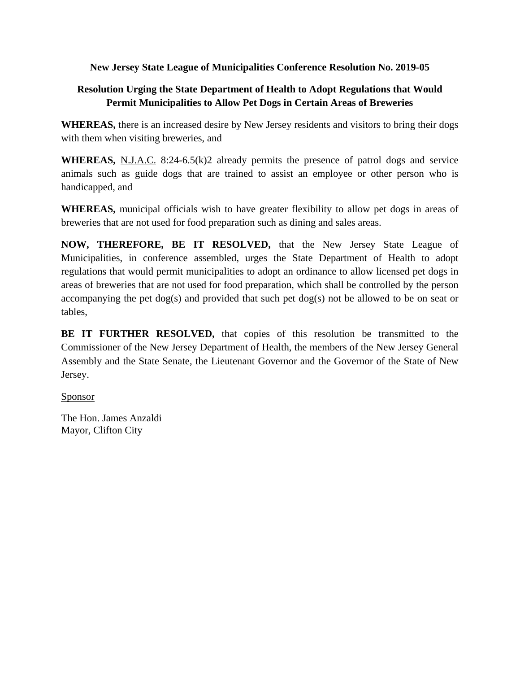# **Resolution Urging the State Department of Health to Adopt Regulations that Would Permit Municipalities to Allow Pet Dogs in Certain Areas of Breweries**

**WHEREAS,** there is an increased desire by New Jersey residents and visitors to bring their dogs with them when visiting breweries, and

**WHEREAS,** N.J.A.C. 8:24-6.5(k)2 already permits the presence of patrol dogs and service animals such as guide dogs that are trained to assist an employee or other person who is handicapped, and

**WHEREAS,** municipal officials wish to have greater flexibility to allow pet dogs in areas of breweries that are not used for food preparation such as dining and sales areas.

**NOW, THEREFORE, BE IT RESOLVED,** that the New Jersey State League of Municipalities, in conference assembled, urges the State Department of Health to adopt regulations that would permit municipalities to adopt an ordinance to allow licensed pet dogs in areas of breweries that are not used for food preparation, which shall be controlled by the person accompanying the pet dog(s) and provided that such pet dog(s) not be allowed to be on seat or tables,

**BE IT FURTHER RESOLVED,** that copies of this resolution be transmitted to the Commissioner of the New Jersey Department of Health, the members of the New Jersey General Assembly and the State Senate, the Lieutenant Governor and the Governor of the State of New Jersey.

#### Sponsor

The Hon. James Anzaldi Mayor, Clifton City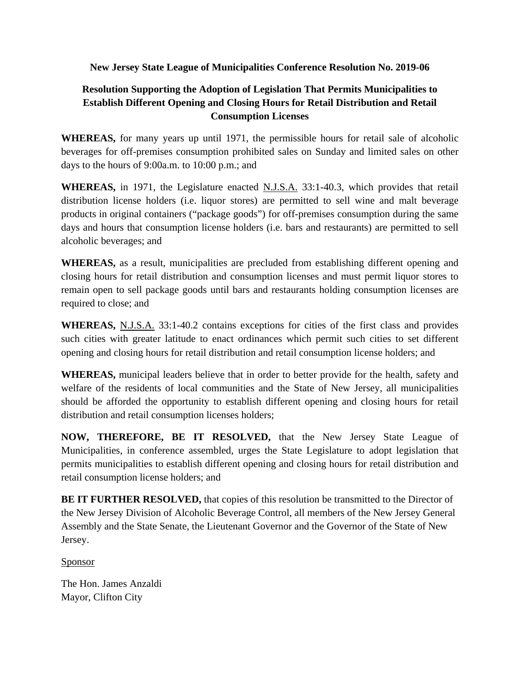# **Resolution Supporting the Adoption of Legislation That Permits Municipalities to Establish Different Opening and Closing Hours for Retail Distribution and Retail Consumption Licenses**

**WHEREAS,** for many years up until 1971, the permissible hours for retail sale of alcoholic beverages for off-premises consumption prohibited sales on Sunday and limited sales on other days to the hours of 9:00a.m. to 10:00 p.m.; and

**WHEREAS,** in 1971, the Legislature enacted N.J.S.A. 33:1-40.3, which provides that retail distribution license holders (i.e. liquor stores) are permitted to sell wine and malt beverage products in original containers ("package goods") for off-premises consumption during the same days and hours that consumption license holders (i.e. bars and restaurants) are permitted to sell alcoholic beverages; and

**WHEREAS,** as a result, municipalities are precluded from establishing different opening and closing hours for retail distribution and consumption licenses and must permit liquor stores to remain open to sell package goods until bars and restaurants holding consumption licenses are required to close; and

**WHEREAS,** N.J.S.A. 33:1-40.2 contains exceptions for cities of the first class and provides such cities with greater latitude to enact ordinances which permit such cities to set different opening and closing hours for retail distribution and retail consumption license holders; and

**WHEREAS,** municipal leaders believe that in order to better provide for the health, safety and welfare of the residents of local communities and the State of New Jersey, all municipalities should be afforded the opportunity to establish different opening and closing hours for retail distribution and retail consumption licenses holders;

**NOW, THEREFORE, BE IT RESOLVED,** that the New Jersey State League of Municipalities, in conference assembled, urges the State Legislature to adopt legislation that permits municipalities to establish different opening and closing hours for retail distribution and retail consumption license holders; and

**BE IT FURTHER RESOLVED, that copies of this resolution be transmitted to the Director of** the New Jersey Division of Alcoholic Beverage Control, all members of the New Jersey General Assembly and the State Senate, the Lieutenant Governor and the Governor of the State of New Jersey.

## Sponsor

The Hon. James Anzaldi Mayor, Clifton City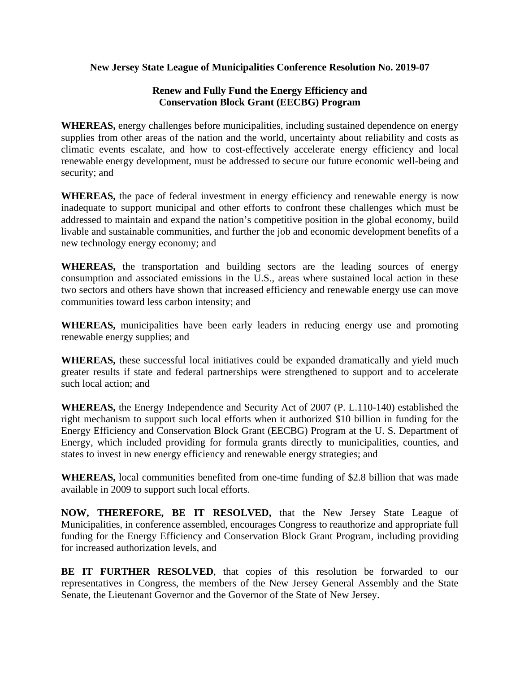## **Renew and Fully Fund the Energy Efficiency and Conservation Block Grant (EECBG) Program**

**WHEREAS,** energy challenges before municipalities, including sustained dependence on energy supplies from other areas of the nation and the world, uncertainty about reliability and costs as climatic events escalate, and how to cost-effectively accelerate energy efficiency and local renewable energy development, must be addressed to secure our future economic well-being and security; and

**WHEREAS,** the pace of federal investment in energy efficiency and renewable energy is now inadequate to support municipal and other efforts to confront these challenges which must be addressed to maintain and expand the nation's competitive position in the global economy, build livable and sustainable communities, and further the job and economic development benefits of a new technology energy economy; and

**WHEREAS,** the transportation and building sectors are the leading sources of energy consumption and associated emissions in the U.S., areas where sustained local action in these two sectors and others have shown that increased efficiency and renewable energy use can move communities toward less carbon intensity; and

**WHEREAS,** municipalities have been early leaders in reducing energy use and promoting renewable energy supplies; and

**WHEREAS,** these successful local initiatives could be expanded dramatically and yield much greater results if state and federal partnerships were strengthened to support and to accelerate such local action; and

**WHEREAS,** the Energy Independence and Security Act of 2007 (P. L.110-140) established the right mechanism to support such local efforts when it authorized \$10 billion in funding for the Energy Efficiency and Conservation Block Grant (EECBG) Program at the U. S. Department of Energy, which included providing for formula grants directly to municipalities, counties, and states to invest in new energy efficiency and renewable energy strategies; and

**WHEREAS,** local communities benefited from one-time funding of \$2.8 billion that was made available in 2009 to support such local efforts.

**NOW, THEREFORE, BE IT RESOLVED,** that the New Jersey State League of Municipalities, in conference assembled, encourages Congress to reauthorize and appropriate full funding for the Energy Efficiency and Conservation Block Grant Program, including providing for increased authorization levels, and

BE IT FURTHER RESOLVED, that copies of this resolution be forwarded to our representatives in Congress, the members of the New Jersey General Assembly and the State Senate, the Lieutenant Governor and the Governor of the State of New Jersey.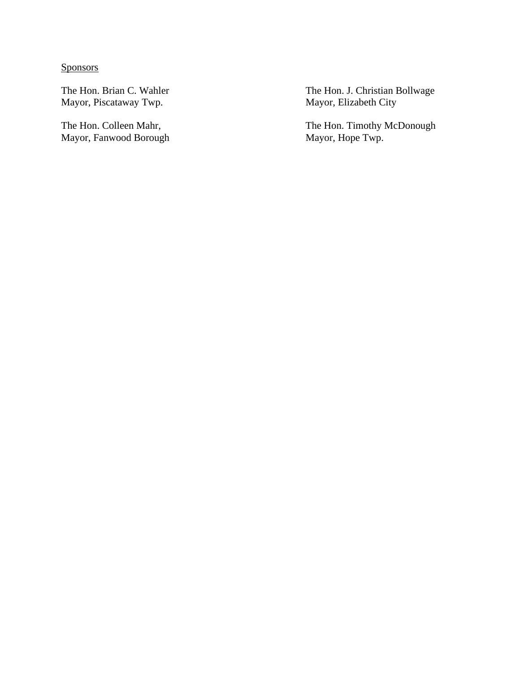**Sponsors** 

Mayor, Piscataway Twp.

Mayor, Fanwood Borough

The Hon. Brian C. Wahler The Hon. J. Christian Bollwage Mayor, Piscataway Twp. The Hon. J. Christian Bollwage

The Hon. Colleen Mahr, The Hon. Timothy McDonough Mayor, Fanwood Borough Mayor, Hope Twp.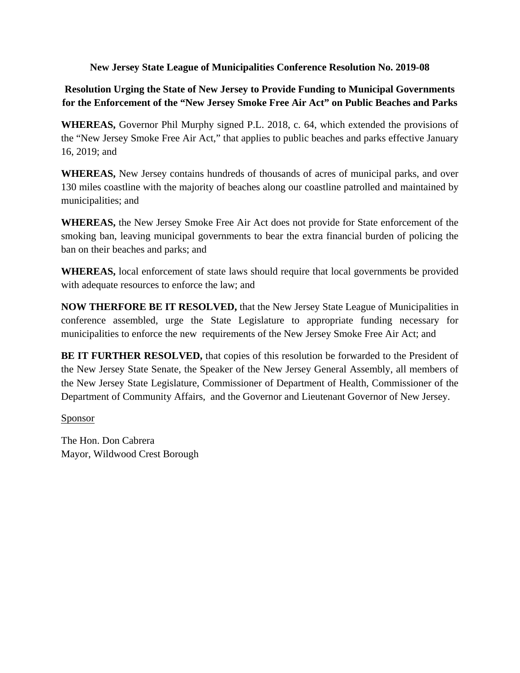# **Resolution Urging the State of New Jersey to Provide Funding to Municipal Governments for the Enforcement of the "New Jersey Smoke Free Air Act" on Public Beaches and Parks**

**WHEREAS,** Governor Phil Murphy signed P.L. 2018, c. 64, which extended the provisions of the "New Jersey Smoke Free Air Act," that applies to public beaches and parks effective January 16, 2019; and

**WHEREAS,** New Jersey contains hundreds of thousands of acres of municipal parks, and over 130 miles coastline with the majority of beaches along our coastline patrolled and maintained by municipalities; and

**WHEREAS,** the New Jersey Smoke Free Air Act does not provide for State enforcement of the smoking ban, leaving municipal governments to bear the extra financial burden of policing the ban on their beaches and parks; and

**WHEREAS,** local enforcement of state laws should require that local governments be provided with adequate resources to enforce the law; and

**NOW THERFORE BE IT RESOLVED,** that the New Jersey State League of Municipalities in conference assembled, urge the State Legislature to appropriate funding necessary for municipalities to enforce the new requirements of the New Jersey Smoke Free Air Act; and

**BE IT FURTHER RESOLVED,** that copies of this resolution be forwarded to the President of the New Jersey State Senate, the Speaker of the New Jersey General Assembly, all members of the New Jersey State Legislature, Commissioner of Department of Health, Commissioner of the Department of Community Affairs, and the Governor and Lieutenant Governor of New Jersey.

## Sponsor

The Hon. Don Cabrera Mayor, Wildwood Crest Borough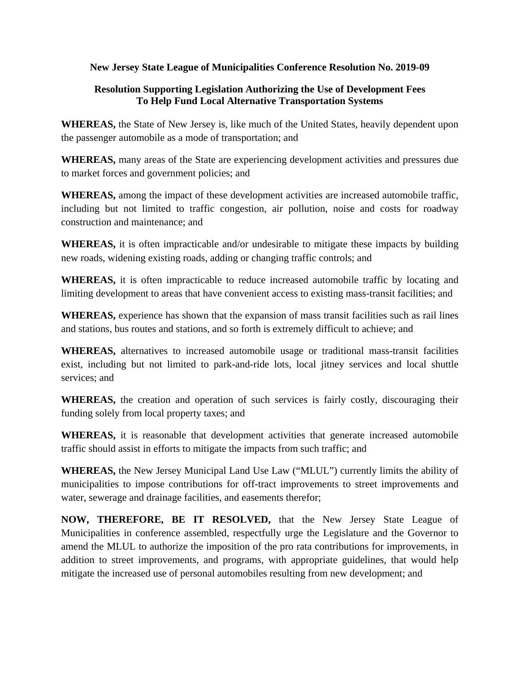## **Resolution Supporting Legislation Authorizing the Use of Development Fees To Help Fund Local Alternative Transportation Systems**

**WHEREAS,** the State of New Jersey is, like much of the United States, heavily dependent upon the passenger automobile as a mode of transportation; and

**WHEREAS,** many areas of the State are experiencing development activities and pressures due to market forces and government policies; and

**WHEREAS,** among the impact of these development activities are increased automobile traffic, including but not limited to traffic congestion, air pollution, noise and costs for roadway construction and maintenance; and

**WHEREAS,** it is often impracticable and/or undesirable to mitigate these impacts by building new roads, widening existing roads, adding or changing traffic controls; and

**WHEREAS,** it is often impracticable to reduce increased automobile traffic by locating and limiting development to areas that have convenient access to existing mass-transit facilities; and

**WHEREAS,** experience has shown that the expansion of mass transit facilities such as rail lines and stations, bus routes and stations, and so forth is extremely difficult to achieve; and

**WHEREAS,** alternatives to increased automobile usage or traditional mass-transit facilities exist, including but not limited to park-and-ride lots, local jitney services and local shuttle services; and

**WHEREAS,** the creation and operation of such services is fairly costly, discouraging their funding solely from local property taxes; and

**WHEREAS,** it is reasonable that development activities that generate increased automobile traffic should assist in efforts to mitigate the impacts from such traffic; and

**WHEREAS,** the New Jersey Municipal Land Use Law ("MLUL") currently limits the ability of municipalities to impose contributions for off-tract improvements to street improvements and water, sewerage and drainage facilities, and easements therefor;

**NOW, THEREFORE, BE IT RESOLVED,** that the New Jersey State League of Municipalities in conference assembled, respectfully urge the Legislature and the Governor to amend the MLUL to authorize the imposition of the pro rata contributions for improvements, in addition to street improvements, and programs, with appropriate guidelines, that would help mitigate the increased use of personal automobiles resulting from new development; and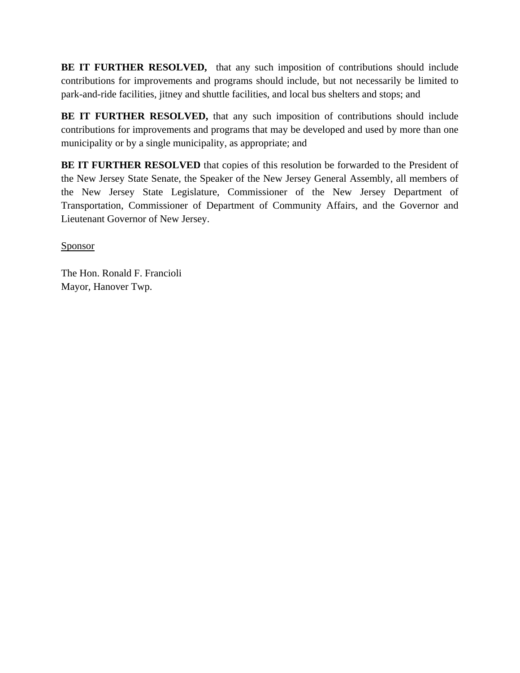**BE IT FURTHER RESOLVED,** that any such imposition of contributions should include contributions for improvements and programs should include, but not necessarily be limited to park-and-ride facilities, jitney and shuttle facilities, and local bus shelters and stops; and

**BE IT FURTHER RESOLVED,** that any such imposition of contributions should include contributions for improvements and programs that may be developed and used by more than one municipality or by a single municipality, as appropriate; and

**BE IT FURTHER RESOLVED** that copies of this resolution be forwarded to the President of the New Jersey State Senate, the Speaker of the New Jersey General Assembly, all members of the New Jersey State Legislature, Commissioner of the New Jersey Department of Transportation, Commissioner of Department of Community Affairs, and the Governor and Lieutenant Governor of New Jersey.

Sponsor

The Hon. Ronald F. Francioli Mayor, Hanover Twp.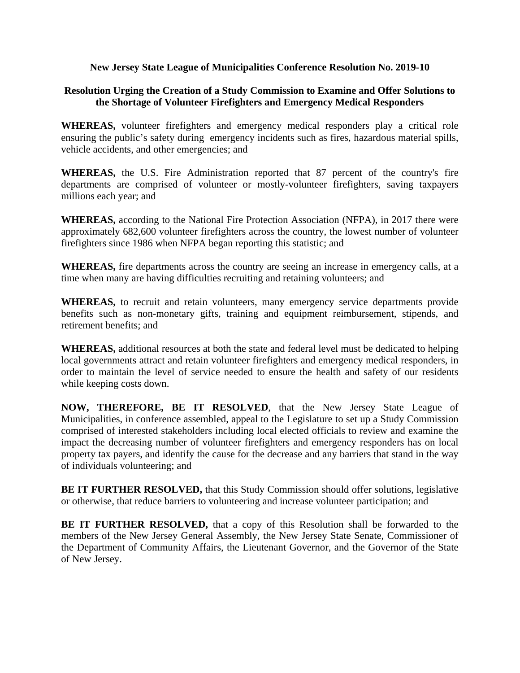## **Resolution Urging the Creation of a Study Commission to Examine and Offer Solutions to the Shortage of Volunteer Firefighters and Emergency Medical Responders**

**WHEREAS,** volunteer firefighters and emergency medical responders play a critical role ensuring the public's safety during emergency incidents such as fires, hazardous material spills, vehicle accidents, and other emergencies; and

**WHEREAS,** the U.S. Fire Administration reported that 87 percent of the country's fire departments are comprised of volunteer or mostly-volunteer firefighters, saving taxpayers millions each year; and

**WHEREAS,** according to the National Fire Protection Association (NFPA), in 2017 there were approximately 682,600 volunteer firefighters across the country, the lowest number of volunteer firefighters since 1986 when NFPA began reporting this statistic; and

**WHEREAS,** fire departments across the country are seeing an increase in emergency calls, at a time when many are having difficulties recruiting and retaining volunteers; and

**WHEREAS,** to recruit and retain volunteers, many emergency service departments provide benefits such as non-monetary gifts, training and equipment reimbursement, stipends, and retirement benefits; and

**WHEREAS,** additional resources at both the state and federal level must be dedicated to helping local governments attract and retain volunteer firefighters and emergency medical responders, in order to maintain the level of service needed to ensure the health and safety of our residents while keeping costs down.

**NOW, THEREFORE, BE IT RESOLVED**, that the New Jersey State League of Municipalities, in conference assembled, appeal to the Legislature to set up a Study Commission comprised of interested stakeholders including local elected officials to review and examine the impact the decreasing number of volunteer firefighters and emergency responders has on local property tax payers, and identify the cause for the decrease and any barriers that stand in the way of individuals volunteering; and

**BE IT FURTHER RESOLVED,** that this Study Commission should offer solutions, legislative or otherwise, that reduce barriers to volunteering and increase volunteer participation; and

**BE IT FURTHER RESOLVED,** that a copy of this Resolution shall be forwarded to the members of the New Jersey General Assembly, the New Jersey State Senate, Commissioner of the Department of Community Affairs, the Lieutenant Governor, and the Governor of the State of New Jersey.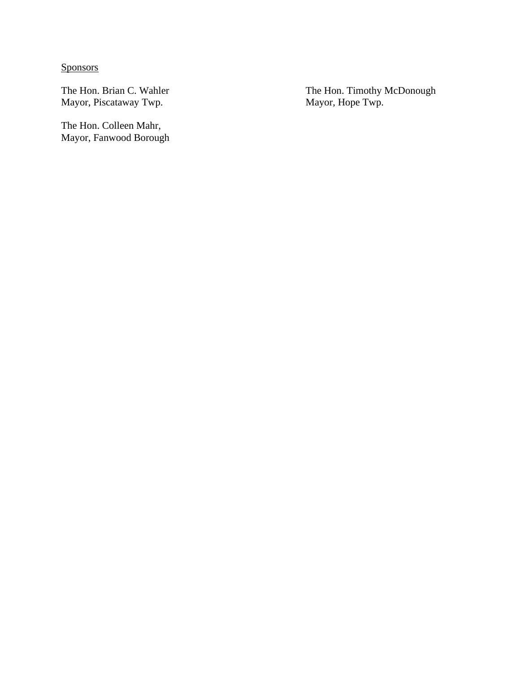**Sponsors** 

Mayor, Piscataway Twp.

The Hon. Colleen Mahr, Mayor, Fanwood Borough

The Hon. Brian C. Wahler The Hon. Timothy McDonough Mayor, Piscataway Twp. The Hon. Timothy McDonough Mayor, Hope Twp.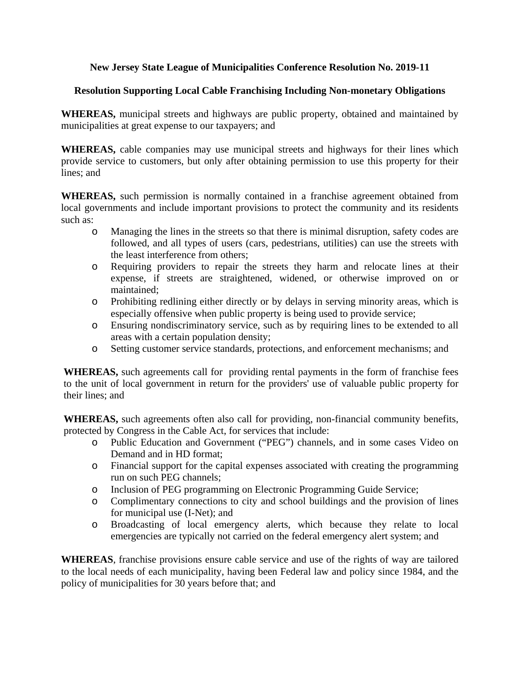## **Resolution Supporting Local Cable Franchising Including Non-monetary Obligations**

**WHEREAS,** municipal streets and highways are public property, obtained and maintained by municipalities at great expense to our taxpayers; and

**WHEREAS,** cable companies may use municipal streets and highways for their lines which provide service to customers, but only after obtaining permission to use this property for their lines; and

**WHEREAS,** such permission is normally contained in a franchise agreement obtained from local governments and include important provisions to protect the community and its residents such as:

- o Managing the lines in the streets so that there is minimal disruption, safety codes are followed, and all types of users (cars, pedestrians, utilities) can use the streets with the least interference from others;
- o Requiring providers to repair the streets they harm and relocate lines at their expense, if streets are straightened, widened, or otherwise improved on or maintained;
- o Prohibiting redlining either directly or by delays in serving minority areas, which is especially offensive when public property is being used to provide service;
- o Ensuring nondiscriminatory service, such as by requiring lines to be extended to all areas with a certain population density;
- o Setting customer service standards, protections, and enforcement mechanisms; and

**WHEREAS,** such agreements call for providing rental payments in the form of franchise fees to the unit of local government in return for the providers' use of valuable public property for their lines; and

**WHEREAS,** such agreements often also call for providing, non-financial community benefits, protected by Congress in the Cable Act, for services that include:

- o Public Education and Government ("PEG") channels, and in some cases Video on Demand and in HD format;
- o Financial support for the capital expenses associated with creating the programming run on such PEG channels;
- o Inclusion of PEG programming on Electronic Programming Guide Service;
- o Complimentary connections to city and school buildings and the provision of lines for municipal use (I-Net); and
- o Broadcasting of local emergency alerts, which because they relate to local emergencies are typically not carried on the federal emergency alert system; and

**WHEREAS**, franchise provisions ensure cable service and use of the rights of way are tailored to the local needs of each municipality, having been Federal law and policy since 1984, and the policy of municipalities for 30 years before that; and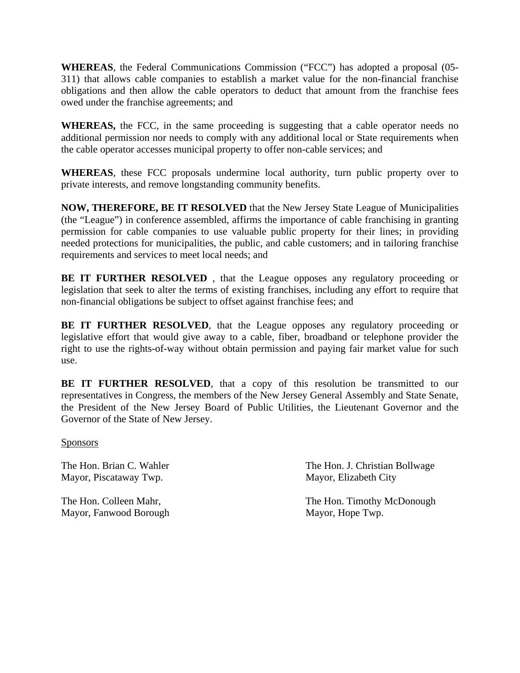**WHEREAS**, the Federal Communications Commission ("FCC") has adopted a proposal (05- 311) that allows cable companies to establish a market value for the non-financial franchise obligations and then allow the cable operators to deduct that amount from the franchise fees owed under the franchise agreements; and

**WHEREAS,** the FCC, in the same proceeding is suggesting that a cable operator needs no additional permission nor needs to comply with any additional local or State requirements when the cable operator accesses municipal property to offer non-cable services; and

**WHEREAS**, these FCC proposals undermine local authority, turn public property over to private interests, and remove longstanding community benefits.

**NOW, THEREFORE, BE IT RESOLVED** that the New Jersey State League of Municipalities (the "League") in conference assembled, affirms the importance of cable franchising in granting permission for cable companies to use valuable public property for their lines; in providing needed protections for municipalities, the public, and cable customers; and in tailoring franchise requirements and services to meet local needs; and

**BE IT FURTHER RESOLVED** , that the League opposes any regulatory proceeding or legislation that seek to alter the terms of existing franchises, including any effort to require that non-financial obligations be subject to offset against franchise fees; and

**BE IT FURTHER RESOLVED**, that the League opposes any regulatory proceeding or legislative effort that would give away to a cable, fiber, broadband or telephone provider the right to use the rights-of-way without obtain permission and paying fair market value for such use.

BE IT FURTHER RESOLVED, that a copy of this resolution be transmitted to our representatives in Congress, the members of the New Jersey General Assembly and State Senate, the President of the New Jersey Board of Public Utilities, the Lieutenant Governor and the Governor of the State of New Jersey.

**Sponsors** 

Mayor, Piscataway Twp. Mayor, Elizabeth City

Mayor, Fanwood Borough Mayor, Hope Twp.

The Hon. Brian C. Wahler The Hon. J. Christian Bollwage

The Hon. Colleen Mahr, The Hon. Timothy McDonough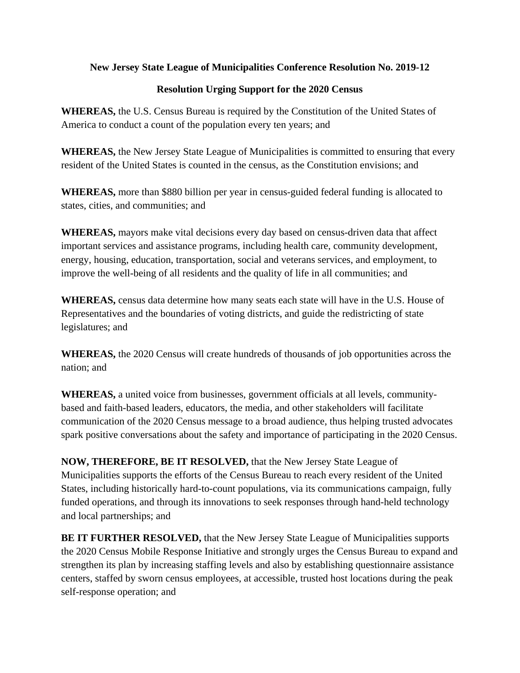# **Resolution Urging Support for the 2020 Census**

**WHEREAS,** the U.S. Census Bureau is required by the Constitution of the United States of America to conduct a count of the population every ten years; and

**WHEREAS,** the New Jersey State League of Municipalities is committed to ensuring that every resident of the United States is counted in the census, as the Constitution envisions; and

**WHEREAS,** more than \$880 billion per year in census-guided federal funding is allocated to states, cities, and communities; and

**WHEREAS,** mayors make vital decisions every day based on census-driven data that affect important services and assistance programs, including health care, community development, energy, housing, education, transportation, social and veterans services, and employment, to improve the well-being of all residents and the quality of life in all communities; and

**WHEREAS,** census data determine how many seats each state will have in the U.S. House of Representatives and the boundaries of voting districts, and guide the redistricting of state legislatures; and

**WHEREAS,** the 2020 Census will create hundreds of thousands of job opportunities across the nation; and

**WHEREAS,** a united voice from businesses, government officials at all levels, communitybased and faith-based leaders, educators, the media, and other stakeholders will facilitate communication of the 2020 Census message to a broad audience, thus helping trusted advocates spark positive conversations about the safety and importance of participating in the 2020 Census.

**NOW, THEREFORE, BE IT RESOLVED,** that the New Jersey State League of Municipalities supports the efforts of the Census Bureau to reach every resident of the United States, including historically hard-to-count populations, via its communications campaign, fully funded operations, and through its innovations to seek responses through hand-held technology and local partnerships; and

**BE IT FURTHER RESOLVED,** that the New Jersey State League of Municipalities supports the 2020 Census Mobile Response Initiative and strongly urges the Census Bureau to expand and strengthen its plan by increasing staffing levels and also by establishing questionnaire assistance centers, staffed by sworn census employees, at accessible, trusted host locations during the peak self-response operation; and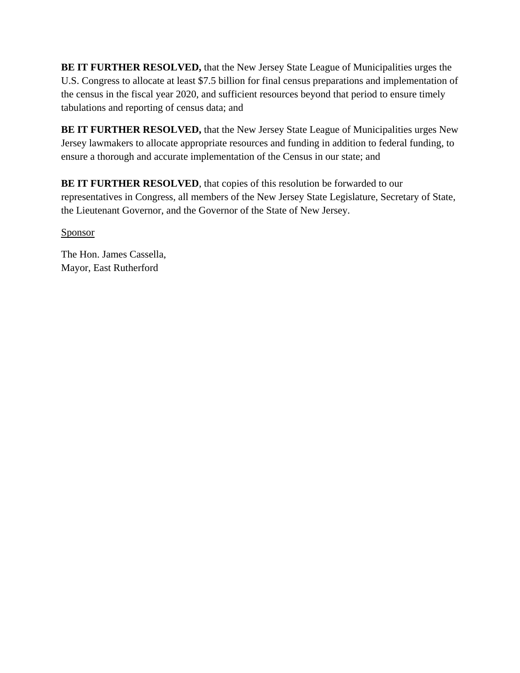**BE IT FURTHER RESOLVED,** that the New Jersey State League of Municipalities urges the U.S. Congress to allocate at least \$7.5 billion for final census preparations and implementation of the census in the fiscal year 2020, and sufficient resources beyond that period to ensure timely tabulations and reporting of census data; and

**BE IT FURTHER RESOLVED,** that the New Jersey State League of Municipalities urges New Jersey lawmakers to allocate appropriate resources and funding in addition to federal funding, to ensure a thorough and accurate implementation of the Census in our state; and

**BE IT FURTHER RESOLVED**, that copies of this resolution be forwarded to our representatives in Congress, all members of the New Jersey State Legislature, Secretary of State, the Lieutenant Governor, and the Governor of the State of New Jersey.

Sponsor

The Hon. James Cassella, Mayor, East Rutherford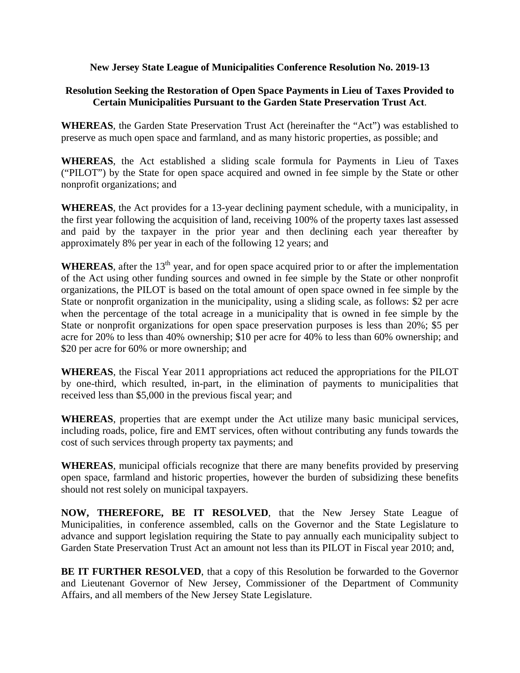## **Resolution Seeking the Restoration of Open Space Payments in Lieu of Taxes Provided to Certain Municipalities Pursuant to the Garden State Preservation Trust Act**.

**WHEREAS**, the Garden State Preservation Trust Act (hereinafter the "Act") was established to preserve as much open space and farmland, and as many historic properties, as possible; and

**WHEREAS**, the Act established a sliding scale formula for Payments in Lieu of Taxes ("PILOT") by the State for open space acquired and owned in fee simple by the State or other nonprofit organizations; and

**WHEREAS**, the Act provides for a 13-year declining payment schedule, with a municipality, in the first year following the acquisition of land, receiving 100% of the property taxes last assessed and paid by the taxpayer in the prior year and then declining each year thereafter by approximately 8% per year in each of the following 12 years; and

WHEREAS, after the 13<sup>th</sup> year, and for open space acquired prior to or after the implementation of the Act using other funding sources and owned in fee simple by the State or other nonprofit organizations, the PILOT is based on the total amount of open space owned in fee simple by the State or nonprofit organization in the municipality, using a sliding scale, as follows: \$2 per acre when the percentage of the total acreage in a municipality that is owned in fee simple by the State or nonprofit organizations for open space preservation purposes is less than 20%; \$5 per acre for 20% to less than 40% ownership; \$10 per acre for 40% to less than 60% ownership; and \$20 per acre for 60% or more ownership; and

**WHEREAS**, the Fiscal Year 2011 appropriations act reduced the appropriations for the PILOT by one-third, which resulted, in-part, in the elimination of payments to municipalities that received less than \$5,000 in the previous fiscal year; and

**WHEREAS**, properties that are exempt under the Act utilize many basic municipal services, including roads, police, fire and EMT services, often without contributing any funds towards the cost of such services through property tax payments; and

**WHEREAS**, municipal officials recognize that there are many benefits provided by preserving open space, farmland and historic properties, however the burden of subsidizing these benefits should not rest solely on municipal taxpayers.

**NOW, THEREFORE, BE IT RESOLVED**, that the New Jersey State League of Municipalities, in conference assembled, calls on the Governor and the State Legislature to advance and support legislation requiring the State to pay annually each municipality subject to Garden State Preservation Trust Act an amount not less than its PILOT in Fiscal year 2010; and,

**BE IT FURTHER RESOLVED**, that a copy of this Resolution be forwarded to the Governor and Lieutenant Governor of New Jersey, Commissioner of the Department of Community Affairs, and all members of the New Jersey State Legislature.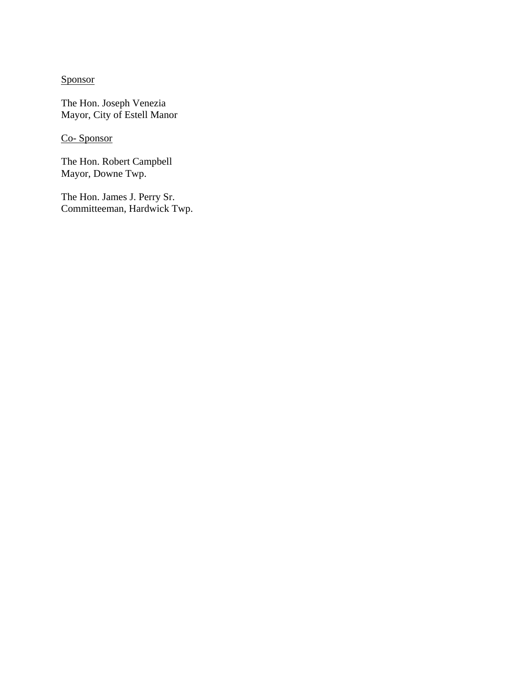Sponsor

The Hon. Joseph Venezia Mayor, City of Estell Manor

Co- Sponsor

The Hon. Robert Campbell Mayor, Downe Twp.

The Hon. James J. Perry Sr. Committeeman, Hardwick Twp.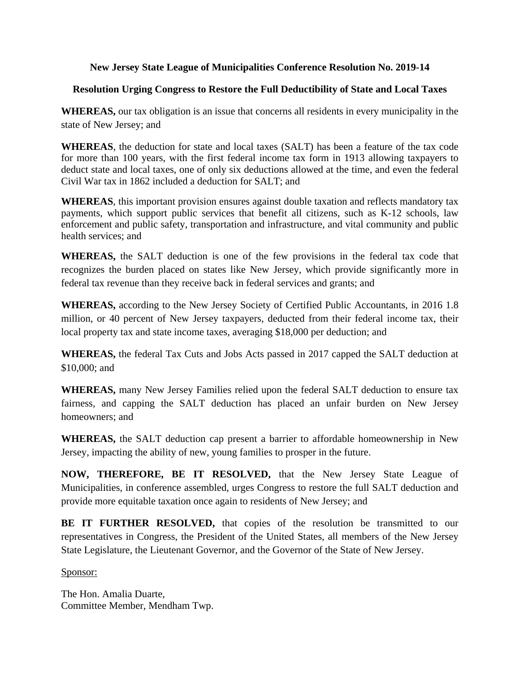### **Resolution Urging Congress to Restore the Full Deductibility of State and Local Taxes**

**WHEREAS,** our tax obligation is an issue that concerns all residents in every municipality in the state of New Jersey; and

**WHEREAS**, the deduction for state and local taxes (SALT) has been a feature of the tax code for more than 100 years, with the first federal income tax form in 1913 allowing taxpayers to deduct state and local taxes, one of only six deductions allowed at the time, and even the federal Civil War tax in 1862 included a deduction for SALT; and

**WHEREAS**, this important provision ensures against double taxation and reflects mandatory tax payments, which support public services that benefit all citizens, such as K-12 schools, law enforcement and public safety, transportation and infrastructure, and vital community and public health services; and

**WHEREAS,** the SALT deduction is one of the few provisions in the federal tax code that recognizes the burden placed on states like New Jersey, which provide significantly more in federal tax revenue than they receive back in federal services and grants; and

**WHEREAS,** according to the New Jersey Society of Certified Public Accountants, in 2016 1.8 million, or 40 percent of New Jersey taxpayers, deducted from their federal income tax, their local property tax and state income taxes, averaging \$18,000 per deduction; and

**WHEREAS,** the federal Tax Cuts and Jobs Acts passed in 2017 capped the SALT deduction at \$10,000; and

**WHEREAS,** many New Jersey Families relied upon the federal SALT deduction to ensure tax fairness, and capping the SALT deduction has placed an unfair burden on New Jersey homeowners; and

**WHEREAS,** the SALT deduction cap present a barrier to affordable homeownership in New Jersey, impacting the ability of new, young families to prosper in the future.

**NOW, THEREFORE, BE IT RESOLVED,** that the New Jersey State League of Municipalities, in conference assembled, urges Congress to restore the full SALT deduction and provide more equitable taxation once again to residents of New Jersey; and

**BE IT FURTHER RESOLVED,** that copies of the resolution be transmitted to our representatives in Congress, the President of the United States, all members of the New Jersey State Legislature, the Lieutenant Governor, and the Governor of the State of New Jersey.

Sponsor:

The Hon. Amalia Duarte, Committee Member, Mendham Twp.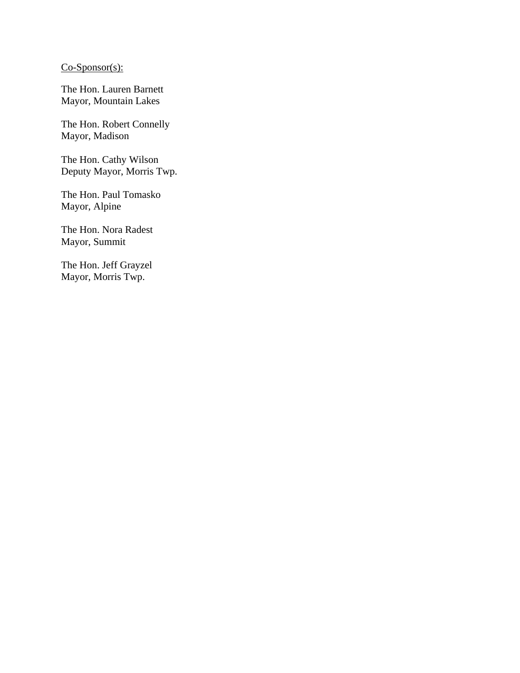# Co-Sponsor(s):

The Hon. Lauren Barnett Mayor, Mountain Lakes

The Hon. Robert Connelly Mayor, Madison

The Hon. Cathy Wilson Deputy Mayor, Morris Twp.

The Hon. Paul Tomasko Mayor, Alpine

The Hon. Nora Radest Mayor, Summit

The Hon. Jeff Grayzel Mayor, Morris Twp.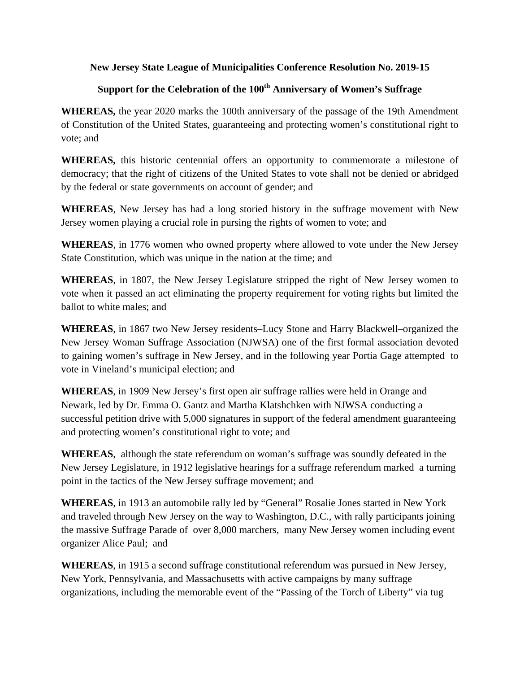# **Support for the Celebration of the 100<sup>th</sup> Anniversary of Women's Suffrage**

**WHEREAS,** the year 2020 marks the 100th anniversary of the passage of the 19th Amendment of Constitution of the United States, guaranteeing and protecting women's constitutional right to vote; and

**WHEREAS,** this historic centennial offers an opportunity to commemorate a milestone of democracy; that the right of citizens of the United States to vote shall not be denied or abridged by the federal or state governments on account of gender; and

**WHEREAS**, New Jersey has had a long storied history in the suffrage movement with New Jersey women playing a crucial role in pursing the rights of women to vote; and

**WHEREAS**, in 1776 women who owned property where allowed to vote under the New Jersey State Constitution, which was unique in the nation at the time; and

**WHEREAS**, in 1807, the New Jersey Legislature stripped the right of New Jersey women to vote when it passed an act eliminating the property requirement for voting rights but limited the ballot to white males; and

**WHEREAS**, in 1867 two New Jersey residents–Lucy Stone and Harry Blackwell–organized the New Jersey Woman Suffrage Association (NJWSA) one of the first formal association devoted to gaining women's suffrage in New Jersey, and in the following year Portia Gage attempted to vote in Vineland's municipal election; and

**WHEREAS**, in 1909 New Jersey's first open air suffrage rallies were held in Orange and Newark, led by Dr. Emma O. Gantz and Martha Klatshchken with NJWSA conducting a successful petition drive with 5,000 signatures in support of the federal amendment guaranteeing and protecting women's constitutional right to vote; and

**WHEREAS**, although the state referendum on woman's suffrage was soundly defeated in the New Jersey Legislature, in 1912 legislative hearings for a suffrage referendum marked a turning point in the tactics of the New Jersey suffrage movement; and

**WHEREAS**, in 1913 an automobile rally led by "General" Rosalie Jones started in New York and traveled through New Jersey on the way to Washington, D.C., with rally participants joining the massive Suffrage Parade of over 8,000 marchers, many New Jersey women including event organizer Alice Paul; and

**WHEREAS**, in 1915 a second suffrage constitutional referendum was pursued in New Jersey, New York, Pennsylvania, and Massachusetts with active campaigns by many suffrage organizations, including the memorable event of the "Passing of the Torch of Liberty" via tug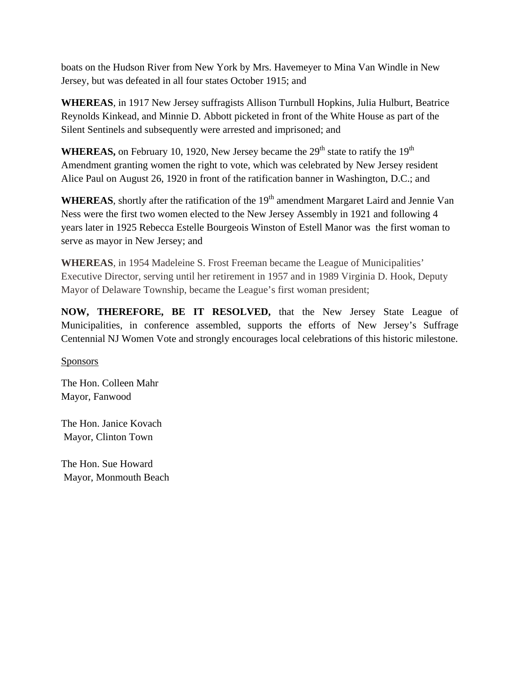boats on the Hudson River from New York by Mrs. Havemeyer to Mina Van Windle in New Jersey, but was defeated in all four states October 1915; and

**WHEREAS**, in 1917 New Jersey suffragists Allison Turnbull Hopkins, Julia Hulburt, Beatrice Reynolds Kinkead, and Minnie D. Abbott picketed in front of the White House as part of the Silent Sentinels and subsequently were arrested and imprisoned; and

**WHEREAS,** on February 10, 1920, New Jersey became the  $29<sup>th</sup>$  state to ratify the  $19<sup>th</sup>$ Amendment granting women the right to vote, which was celebrated by New Jersey resident Alice Paul on August 26, 1920 in front of the ratification banner in Washington, D.C.; and

WHEREAS, shortly after the ratification of the 19<sup>th</sup> amendment Margaret Laird and Jennie Van Ness were the first two women elected to the New Jersey Assembly in 1921 and following 4 years later in 1925 Rebecca Estelle Bourgeois Winston of Estell Manor was the first woman to serve as mayor in New Jersey; and

**WHEREAS**, in 1954 Madeleine S. Frost Freeman became the League of Municipalities' Executive Director, serving until her retirement in 1957 and in 1989 Virginia D. Hook, Deputy Mayor of Delaware Township, became the League's first woman president;

**NOW, THEREFORE, BE IT RESOLVED,** that the New Jersey State League of Municipalities, in conference assembled, supports the efforts of New Jersey's Suffrage Centennial NJ Women Vote and strongly encourages local celebrations of this historic milestone.

## Sponsors

The Hon. Colleen Mahr Mayor, Fanwood

The Hon. Janice Kovach Mayor, Clinton Town

The Hon. Sue Howard Mayor, Monmouth Beach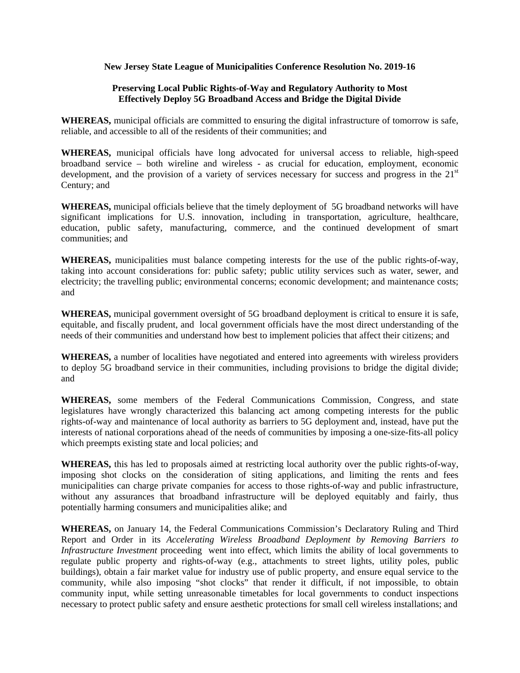#### **Preserving Local Public Rights-of-Way and Regulatory Authority to Most Effectively Deploy 5G Broadband Access and Bridge the Digital Divide**

**WHEREAS,** municipal officials are committed to ensuring the digital infrastructure of tomorrow is safe, reliable, and accessible to all of the residents of their communities; and

**WHEREAS,** municipal officials have long advocated for universal access to reliable, high-speed broadband service – both wireline and wireless - as crucial for education, employment, economic development, and the provision of a variety of services necessary for success and progress in the 21<sup>st</sup> Century; and

**WHEREAS,** municipal officials believe that the timely deployment of 5G broadband networks will have significant implications for U.S. innovation, including in transportation, agriculture, healthcare, education, public safety, manufacturing, commerce, and the continued development of smart communities; and

**WHEREAS,** municipalities must balance competing interests for the use of the public rights-of-way, taking into account considerations for: public safety; public utility services such as water, sewer, and electricity; the travelling public; environmental concerns; economic development; and maintenance costs; and

**WHEREAS,** municipal government oversight of 5G broadband deployment is critical to ensure it is safe, equitable, and fiscally prudent, and local government officials have the most direct understanding of the needs of their communities and understand how best to implement policies that affect their citizens; and

**WHEREAS,** a number of localities have negotiated and entered into agreements with wireless providers to deploy 5G broadband service in their communities, including provisions to bridge the digital divide; and

**WHEREAS,** some members of the Federal Communications Commission, Congress, and state legislatures have wrongly characterized this balancing act among competing interests for the public rights-of-way and maintenance of local authority as barriers to 5G deployment and, instead, have put the interests of national corporations ahead of the needs of communities by imposing a one-size-fits-all policy which preempts existing state and local policies; and

**WHEREAS,** this has led to proposals aimed at restricting local authority over the public rights-of-way, imposing shot clocks on the consideration of siting applications, and limiting the rents and fees municipalities can charge private companies for access to those rights-of-way and public infrastructure, without any assurances that broadband infrastructure will be deployed equitably and fairly, thus potentially harming consumers and municipalities alike; and

**WHEREAS,** on January 14, the Federal Communications Commission's Declaratory Ruling and Third Report and Order in its *Accelerating Wireless Broadband Deployment by Removing Barriers to Infrastructure Investment* proceeding went into effect, which limits the ability of local governments to regulate public property and rights-of-way (e.g., attachments to street lights, utility poles, public buildings), obtain a fair market value for industry use of public property, and ensure equal service to the community, while also imposing "shot clocks" that render it difficult, if not impossible, to obtain community input, while setting unreasonable timetables for local governments to conduct inspections necessary to protect public safety and ensure aesthetic protections for small cell wireless installations; and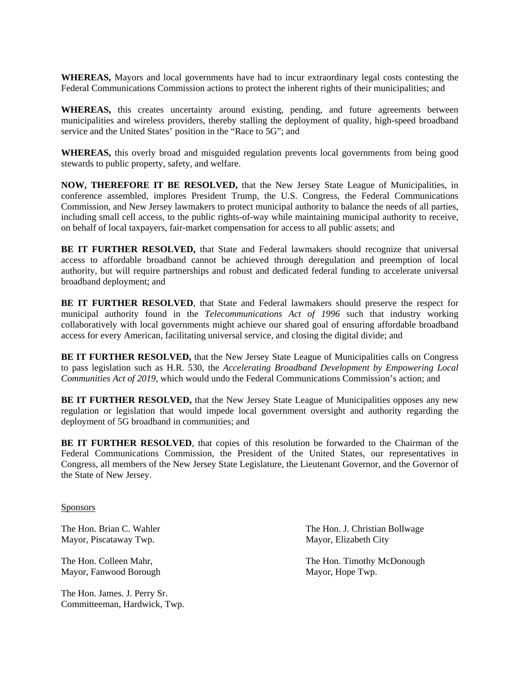**WHEREAS,** Mayors and local governments have had to incur extraordinary legal costs contesting the Federal Communications Commission actions to protect the inherent rights of their municipalities; and

**WHEREAS,** this creates uncertainty around existing, pending, and future agreements between municipalities and wireless providers, thereby stalling the deployment of quality, high-speed broadband service and the United States' position in the "Race to 5G"; and

**WHEREAS,** this overly broad and misguided regulation prevents local governments from being good stewards to public property, safety, and welfare.

**NOW, THEREFORE IT BE RESOLVED,** that the New Jersey State League of Municipalities, in conference assembled, implores President Trump, the U.S. Congress, the Federal Communications Commission, and New Jersey lawmakers to protect municipal authority to balance the needs of all parties, including small cell access, to the public rights-of-way while maintaining municipal authority to receive, on behalf of local taxpayers, fair-market compensation for access to all public assets; and

**BE IT FURTHER RESOLVED,** that State and Federal lawmakers should recognize that universal access to affordable broadband cannot be achieved through deregulation and preemption of local authority, but will require partnerships and robust and dedicated federal funding to accelerate universal broadband deployment; and

**BE IT FURTHER RESOLVED**, that State and Federal lawmakers should preserve the respect for municipal authority found in the *Telecommunications Act of 1996* such that industry working collaboratively with local governments might achieve our shared goal of ensuring affordable broadband access for every American, facilitating universal service, and closing the digital divide; and

**BE IT FURTHER RESOLVED,** that the New Jersey State League of Municipalities calls on Congress to pass legislation such as H.R. 530, the *Accelerating Broadband Development by Empowering Local Communities Act of 2019*, which would undo the Federal Communications Commission's action; and

**BE IT FURTHER RESOLVED,** that the New Jersey State League of Municipalities opposes any new regulation or legislation that would impede local government oversight and authority regarding the deployment of 5G broadband in communities; and

**BE IT FURTHER RESOLVED**, that copies of this resolution be forwarded to the Chairman of the Federal Communications Commission, the President of the United States, our representatives in Congress, all members of the New Jersey State Legislature, the Lieutenant Governor, and the Governor of the State of New Jersey.

Sponsors

Mayor, Piscataway Twp. Mayor, Elizabeth City

Mayor, Fanwood Borough Mayor, Hope Twp.

The Hon. James. J. Perry Sr. Committeeman, Hardwick, Twp.

The Hon. Brian C. Wahler The Hon. J. Christian Bollwage

The Hon. Colleen Mahr, The Hon. Timothy McDonough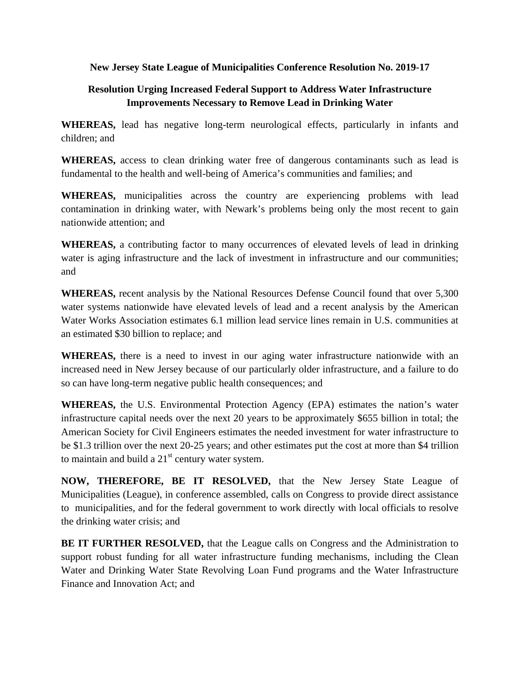# **Resolution Urging Increased Federal Support to Address Water Infrastructure Improvements Necessary to Remove Lead in Drinking Water**

**WHEREAS,** lead has negative long-term neurological effects, particularly in infants and children; and

**WHEREAS,** access to clean drinking water free of dangerous contaminants such as lead is fundamental to the health and well-being of America's communities and families; and

**WHEREAS,** municipalities across the country are experiencing problems with lead contamination in drinking water, with Newark's problems being only the most recent to gain nationwide attention; and

**WHEREAS,** a contributing factor to many occurrences of elevated levels of lead in drinking water is aging infrastructure and the lack of investment in infrastructure and our communities; and

**WHEREAS,** recent analysis by the National Resources Defense Council found that over 5,300 water systems nationwide have elevated levels of lead and a recent analysis by the American Water Works Association estimates 6.1 million lead service lines remain in U.S. communities at an estimated \$30 billion to replace; and

**WHEREAS,** there is a need to invest in our aging water infrastructure nationwide with an increased need in New Jersey because of our particularly older infrastructure, and a failure to do so can have long-term negative public health consequences; and

**WHEREAS,** the U.S. Environmental Protection Agency (EPA) estimates the nation's water infrastructure capital needs over the next 20 years to be approximately \$655 billion in total; the American Society for Civil Engineers estimates the needed investment for water infrastructure to be \$1.3 trillion over the next 20-25 years; and other estimates put the cost at more than \$4 trillion to maintain and build a  $21<sup>st</sup>$  century water system.

**NOW, THEREFORE, BE IT RESOLVED,** that the New Jersey State League of Municipalities (League), in conference assembled, calls on Congress to provide direct assistance to municipalities, and for the federal government to work directly with local officials to resolve the drinking water crisis; and

**BE IT FURTHER RESOLVED,** that the League calls on Congress and the Administration to support robust funding for all water infrastructure funding mechanisms, including the Clean Water and Drinking Water State Revolving Loan Fund programs and the Water Infrastructure Finance and Innovation Act; and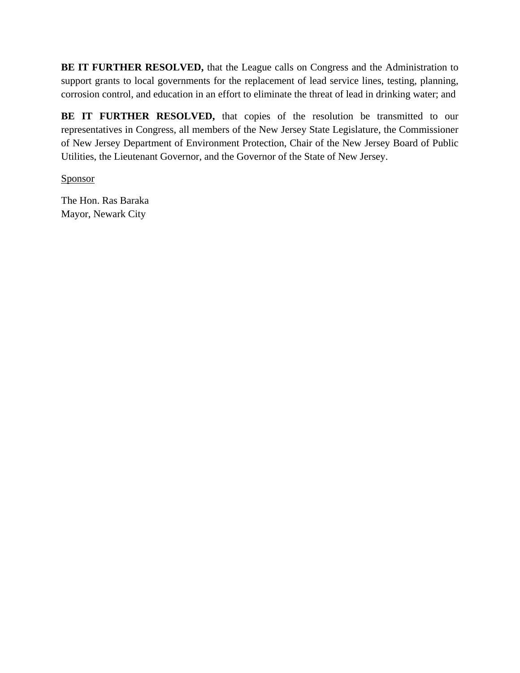**BE IT FURTHER RESOLVED,** that the League calls on Congress and the Administration to support grants to local governments for the replacement of lead service lines, testing, planning, corrosion control, and education in an effort to eliminate the threat of lead in drinking water; and

BE IT FURTHER RESOLVED, that copies of the resolution be transmitted to our representatives in Congress, all members of the New Jersey State Legislature, the Commissioner of New Jersey Department of Environment Protection, Chair of the New Jersey Board of Public Utilities, the Lieutenant Governor, and the Governor of the State of New Jersey.

**Sponsor** 

The Hon. Ras Baraka Mayor, Newark City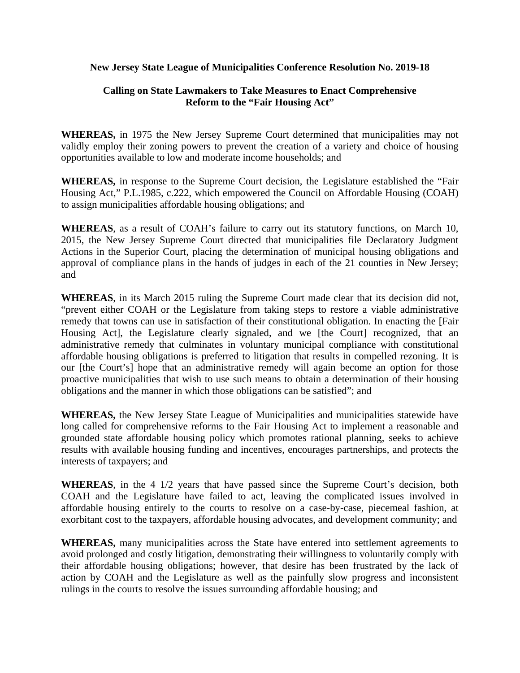## **Calling on State Lawmakers to Take Measures to Enact Comprehensive Reform to the "Fair Housing Act"**

**WHEREAS,** in 1975 the New Jersey Supreme Court determined that municipalities may not validly employ their zoning powers to prevent the creation of a variety and choice of housing opportunities available to low and moderate income households; and

**WHEREAS,** in response to the Supreme Court decision, the Legislature established the "Fair Housing Act," P.L.1985, c.222, which empowered the Council on Affordable Housing (COAH) to assign municipalities affordable housing obligations; and

**WHEREAS**, as a result of COAH's failure to carry out its statutory functions, on March 10, 2015, the New Jersey Supreme Court directed that municipalities file Declaratory Judgment Actions in the Superior Court, placing the determination of municipal housing obligations and approval of compliance plans in the hands of judges in each of the 21 counties in New Jersey; and

**WHEREAS**, in its March 2015 ruling the Supreme Court made clear that its decision did not, "prevent either COAH or the Legislature from taking steps to restore a viable administrative remedy that towns can use in satisfaction of their constitutional obligation. In enacting the [Fair Housing Act], the Legislature clearly signaled, and we [the Court] recognized, that an administrative remedy that culminates in voluntary municipal compliance with constitutional affordable housing obligations is preferred to litigation that results in compelled rezoning. It is our [the Court's] hope that an administrative remedy will again become an option for those proactive municipalities that wish to use such means to obtain a determination of their housing obligations and the manner in which those obligations can be satisfied"; and

**WHEREAS,** the New Jersey State League of Municipalities and municipalities statewide have long called for comprehensive reforms to the Fair Housing Act to implement a reasonable and grounded state affordable housing policy which promotes rational planning, seeks to achieve results with available housing funding and incentives, encourages partnerships, and protects the interests of taxpayers; and

**WHEREAS**, in the 4 1/2 years that have passed since the Supreme Court's decision, both COAH and the Legislature have failed to act, leaving the complicated issues involved in affordable housing entirely to the courts to resolve on a case-by-case, piecemeal fashion, at exorbitant cost to the taxpayers, affordable housing advocates, and development community; and

WHEREAS, many municipalities across the State have entered into settlement agreements to avoid prolonged and costly litigation, demonstrating their willingness to voluntarily comply with their affordable housing obligations; however, that desire has been frustrated by the lack of action by COAH and the Legislature as well as the painfully slow progress and inconsistent rulings in the courts to resolve the issues surrounding affordable housing; and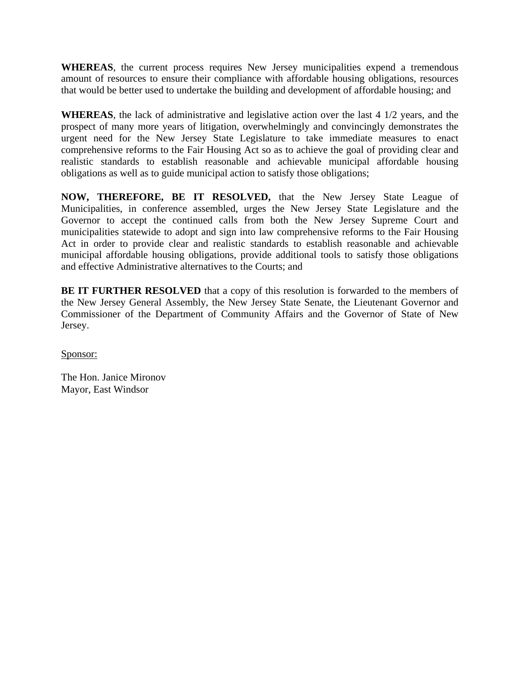**WHEREAS**, the current process requires New Jersey municipalities expend a tremendous amount of resources to ensure their compliance with affordable housing obligations, resources that would be better used to undertake the building and development of affordable housing; and

**WHEREAS**, the lack of administrative and legislative action over the last 4 1/2 years, and the prospect of many more years of litigation, overwhelmingly and convincingly demonstrates the urgent need for the New Jersey State Legislature to take immediate measures to enact comprehensive reforms to the Fair Housing Act so as to achieve the goal of providing clear and realistic standards to establish reasonable and achievable municipal affordable housing obligations as well as to guide municipal action to satisfy those obligations;

**NOW, THEREFORE, BE IT RESOLVED,** that the New Jersey State League of Municipalities, in conference assembled, urges the New Jersey State Legislature and the Governor to accept the continued calls from both the New Jersey Supreme Court and municipalities statewide to adopt and sign into law comprehensive reforms to the Fair Housing Act in order to provide clear and realistic standards to establish reasonable and achievable municipal affordable housing obligations, provide additional tools to satisfy those obligations and effective Administrative alternatives to the Courts; and

**BE IT FURTHER RESOLVED** that a copy of this resolution is forwarded to the members of the New Jersey General Assembly, the New Jersey State Senate, the Lieutenant Governor and Commissioner of the Department of Community Affairs and the Governor of State of New Jersey.

Sponsor:

The Hon. Janice Mironov Mayor, East Windsor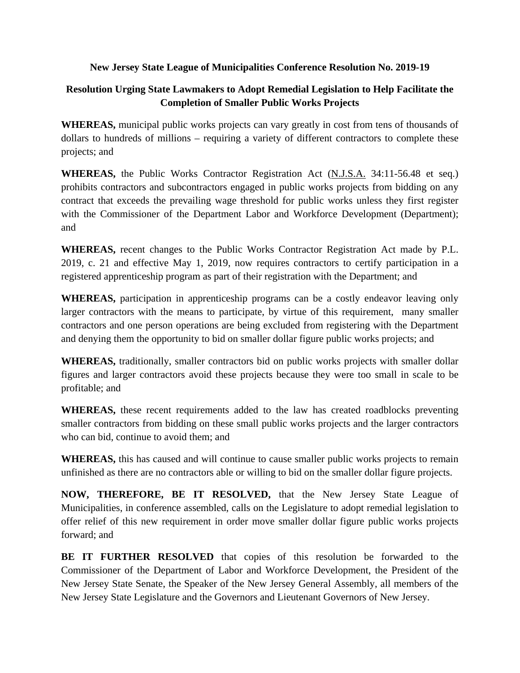# **Resolution Urging State Lawmakers to Adopt Remedial Legislation to Help Facilitate the Completion of Smaller Public Works Projects**

**WHEREAS,** municipal public works projects can vary greatly in cost from tens of thousands of dollars to hundreds of millions – requiring a variety of different contractors to complete these projects; and

**WHEREAS,** the Public Works Contractor Registration Act (N.J.S.A. 34:11-56.48 et seq.) prohibits contractors and subcontractors engaged in public works projects from bidding on any contract that exceeds the prevailing wage threshold for public works unless they first register with the Commissioner of the Department Labor and Workforce Development (Department); and

**WHEREAS,** recent changes to the Public Works Contractor Registration Act made by P.L. 2019, c. 21 and effective May 1, 2019, now requires contractors to certify participation in a registered apprenticeship program as part of their registration with the Department; and

**WHEREAS,** participation in apprenticeship programs can be a costly endeavor leaving only larger contractors with the means to participate, by virtue of this requirement, many smaller contractors and one person operations are being excluded from registering with the Department and denying them the opportunity to bid on smaller dollar figure public works projects; and

**WHEREAS,** traditionally, smaller contractors bid on public works projects with smaller dollar figures and larger contractors avoid these projects because they were too small in scale to be profitable; and

**WHEREAS,** these recent requirements added to the law has created roadblocks preventing smaller contractors from bidding on these small public works projects and the larger contractors who can bid, continue to avoid them; and

**WHEREAS,** this has caused and will continue to cause smaller public works projects to remain unfinished as there are no contractors able or willing to bid on the smaller dollar figure projects.

**NOW, THEREFORE, BE IT RESOLVED,** that the New Jersey State League of Municipalities, in conference assembled, calls on the Legislature to adopt remedial legislation to offer relief of this new requirement in order move smaller dollar figure public works projects forward; and

**BE IT FURTHER RESOLVED** that copies of this resolution be forwarded to the Commissioner of the Department of Labor and Workforce Development, the President of the New Jersey State Senate, the Speaker of the New Jersey General Assembly, all members of the New Jersey State Legislature and the Governors and Lieutenant Governors of New Jersey.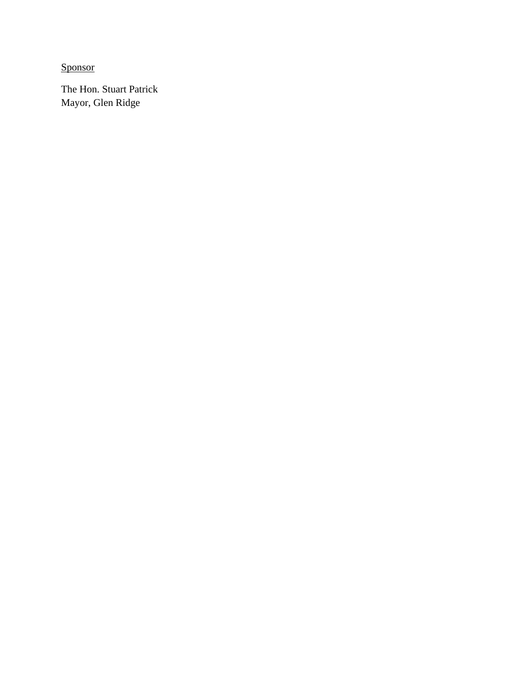Sponsor

The Hon. Stuart Patrick Mayor, Glen Ridge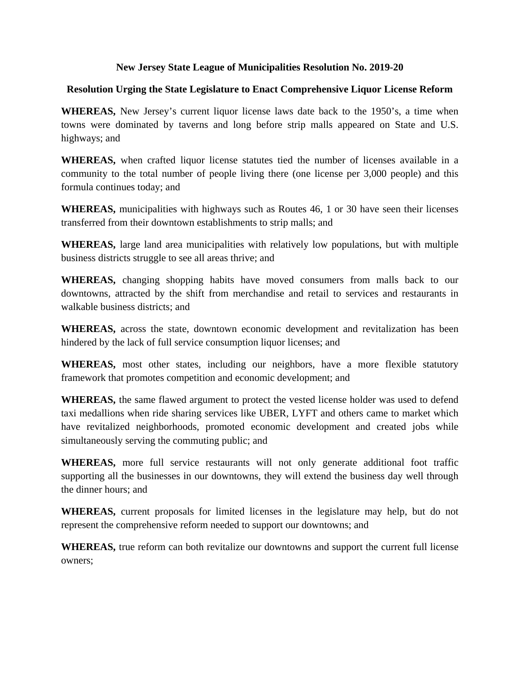## **Resolution Urging the State Legislature to Enact Comprehensive Liquor License Reform**

**WHEREAS,** New Jersey's current liquor license laws date back to the 1950's, a time when towns were dominated by taverns and long before strip malls appeared on State and U.S. highways; and

**WHEREAS,** when crafted liquor license statutes tied the number of licenses available in a community to the total number of people living there (one license per 3,000 people) and this formula continues today; and

**WHEREAS,** municipalities with highways such as Routes 46, 1 or 30 have seen their licenses transferred from their downtown establishments to strip malls; and

**WHEREAS,** large land area municipalities with relatively low populations, but with multiple business districts struggle to see all areas thrive; and

**WHEREAS,** changing shopping habits have moved consumers from malls back to our downtowns, attracted by the shift from merchandise and retail to services and restaurants in walkable business districts; and

**WHEREAS,** across the state, downtown economic development and revitalization has been hindered by the lack of full service consumption liquor licenses; and

**WHEREAS,** most other states, including our neighbors, have a more flexible statutory framework that promotes competition and economic development; and

**WHEREAS,** the same flawed argument to protect the vested license holder was used to defend taxi medallions when ride sharing services like UBER, LYFT and others came to market which have revitalized neighborhoods, promoted economic development and created jobs while simultaneously serving the commuting public; and

**WHEREAS,** more full service restaurants will not only generate additional foot traffic supporting all the businesses in our downtowns, they will extend the business day well through the dinner hours; and

**WHEREAS,** current proposals for limited licenses in the legislature may help, but do not represent the comprehensive reform needed to support our downtowns; and

**WHEREAS,** true reform can both revitalize our downtowns and support the current full license owners;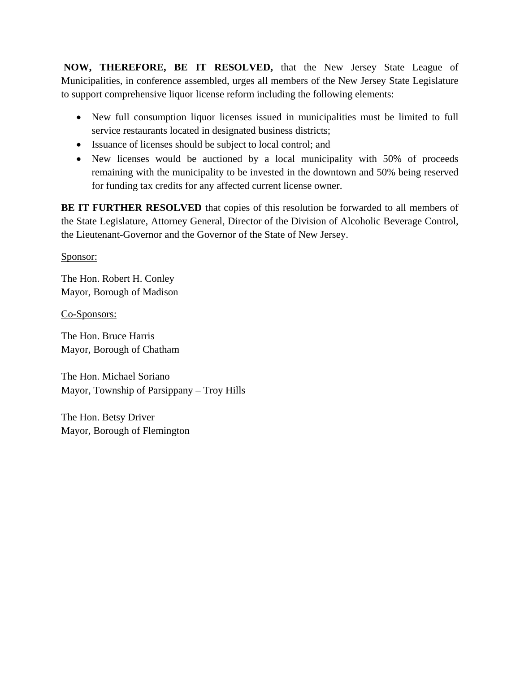**NOW, THEREFORE, BE IT RESOLVED,** that the New Jersey State League of Municipalities, in conference assembled, urges all members of the New Jersey State Legislature to support comprehensive liquor license reform including the following elements:

- New full consumption liquor licenses issued in municipalities must be limited to full service restaurants located in designated business districts;
- Issuance of licenses should be subject to local control; and
- New licenses would be auctioned by a local municipality with 50% of proceeds remaining with the municipality to be invested in the downtown and 50% being reserved for funding tax credits for any affected current license owner.

**BE IT FURTHER RESOLVED** that copies of this resolution be forwarded to all members of the State Legislature, Attorney General, Director of the Division of Alcoholic Beverage Control, the Lieutenant-Governor and the Governor of the State of New Jersey.

Sponsor:

The Hon. Robert H. Conley Mayor, Borough of Madison

Co-Sponsors:

The Hon. Bruce Harris Mayor, Borough of Chatham

The Hon. Michael Soriano Mayor, Township of Parsippany – Troy Hills

The Hon. Betsy Driver Mayor, Borough of Flemington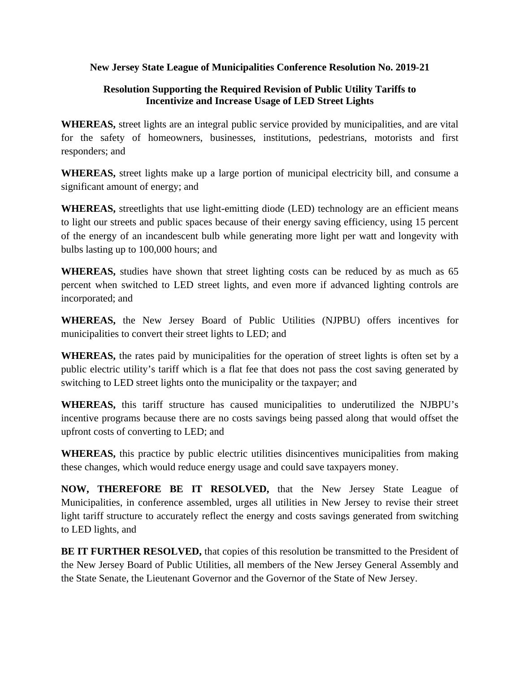## **Resolution Supporting the Required Revision of Public Utility Tariffs to Incentivize and Increase Usage of LED Street Lights**

**WHEREAS,** street lights are an integral public service provided by municipalities, and are vital for the safety of homeowners, businesses, institutions, pedestrians, motorists and first responders; and

**WHEREAS,** street lights make up a large portion of municipal electricity bill, and consume a significant amount of energy; and

**WHEREAS,** streetlights that use light-emitting diode (LED) technology are an efficient means to light our streets and public spaces because of their energy saving efficiency, using 15 percent of the energy of an incandescent bulb while generating more light per watt and longevity with bulbs lasting up to 100,000 hours; and

**WHEREAS,** studies have shown that street lighting costs can be reduced by as much as 65 percent when switched to LED street lights, and even more if advanced lighting controls are incorporated; and

**WHEREAS,** the New Jersey Board of Public Utilities (NJPBU) offers incentives for municipalities to convert their street lights to LED; and

**WHEREAS,** the rates paid by municipalities for the operation of street lights is often set by a public electric utility's tariff which is a flat fee that does not pass the cost saving generated by switching to LED street lights onto the municipality or the taxpayer; and

**WHEREAS,** this tariff structure has caused municipalities to underutilized the NJBPU's incentive programs because there are no costs savings being passed along that would offset the upfront costs of converting to LED; and

**WHEREAS,** this practice by public electric utilities disincentives municipalities from making these changes, which would reduce energy usage and could save taxpayers money.

**NOW, THEREFORE BE IT RESOLVED,** that the New Jersey State League of Municipalities, in conference assembled, urges all utilities in New Jersey to revise their street light tariff structure to accurately reflect the energy and costs savings generated from switching to LED lights, and

**BE IT FURTHER RESOLVED,** that copies of this resolution be transmitted to the President of the New Jersey Board of Public Utilities, all members of the New Jersey General Assembly and the State Senate, the Lieutenant Governor and the Governor of the State of New Jersey.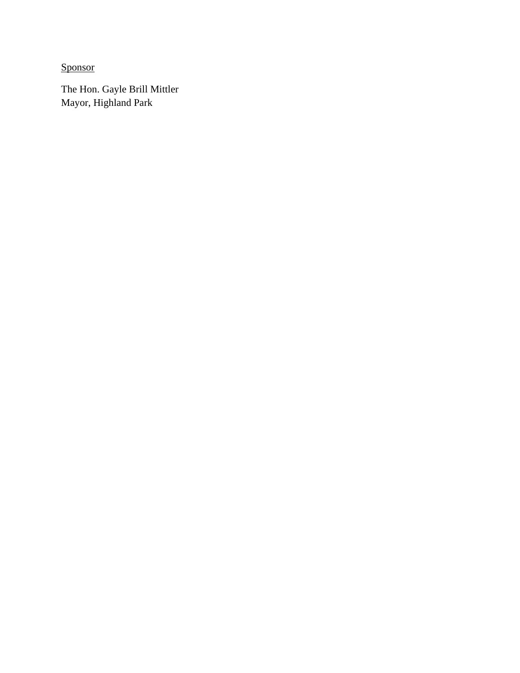Sponsor

The Hon. Gayle Brill Mittler Mayor, Highland Park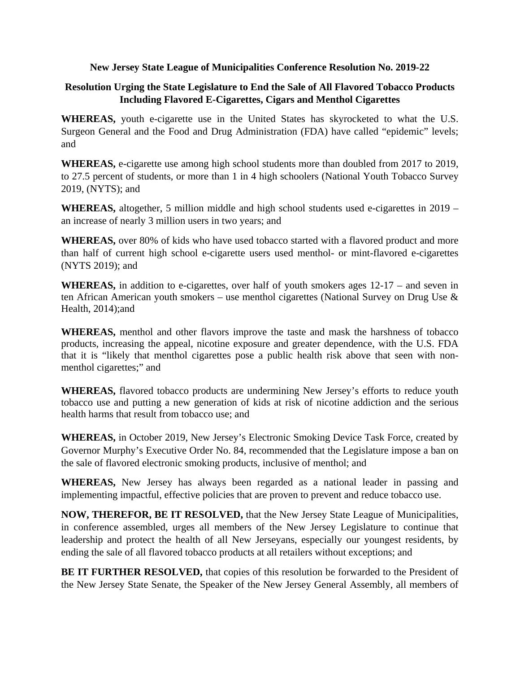## **Resolution Urging the State Legislature to End the Sale of All Flavored Tobacco Products Including Flavored E-Cigarettes, Cigars and Menthol Cigarettes**

**WHEREAS,** youth e-cigarette use in the United States has skyrocketed to what the U.S. Surgeon General and the Food and Drug Administration (FDA) have called "epidemic" levels; and

**WHEREAS,** e-cigarette use among high school students more than doubled from 2017 to 2019, to 27.5 percent of students, or more than 1 in 4 high schoolers (National Youth Tobacco Survey 2019, (NYTS); and

**WHEREAS,** altogether, 5 million middle and high school students used e-cigarettes in 2019 – an increase of nearly 3 million users in two years; and

**WHEREAS,** over 80% of kids who have used tobacco started with a flavored product and more than half of current high school e-cigarette users used menthol- or mint-flavored e-cigarettes (NYTS 2019); and

WHEREAS, in addition to e-cigarettes, over half of youth smokers ages  $12-17$  – and seven in ten African American youth smokers – use menthol cigarettes (National Survey on Drug Use & Health, 2014);and

**WHEREAS,** menthol and other flavors improve the taste and mask the harshness of tobacco products, increasing the appeal, nicotine exposure and greater dependence, with the U.S. FDA that it is "likely that menthol cigarettes pose a public health risk above that seen with nonmenthol cigarettes;" and

**WHEREAS,** flavored tobacco products are undermining New Jersey's efforts to reduce youth tobacco use and putting a new generation of kids at risk of nicotine addiction and the serious health harms that result from tobacco use; and

**WHEREAS,** in October 2019, New Jersey's Electronic Smoking Device Task Force, created by Governor Murphy's Executive Order No. 84, recommended that the Legislature impose a ban on the sale of flavored electronic smoking products, inclusive of menthol; and

**WHEREAS,** New Jersey has always been regarded as a national leader in passing and implementing impactful, effective policies that are proven to prevent and reduce tobacco use.

**NOW, THEREFOR, BE IT RESOLVED,** that the New Jersey State League of Municipalities, in conference assembled, urges all members of the New Jersey Legislature to continue that leadership and protect the health of all New Jerseyans, especially our youngest residents, by ending the sale of all flavored tobacco products at all retailers without exceptions; and

**BE IT FURTHER RESOLVED,** that copies of this resolution be forwarded to the President of the New Jersey State Senate, the Speaker of the New Jersey General Assembly, all members of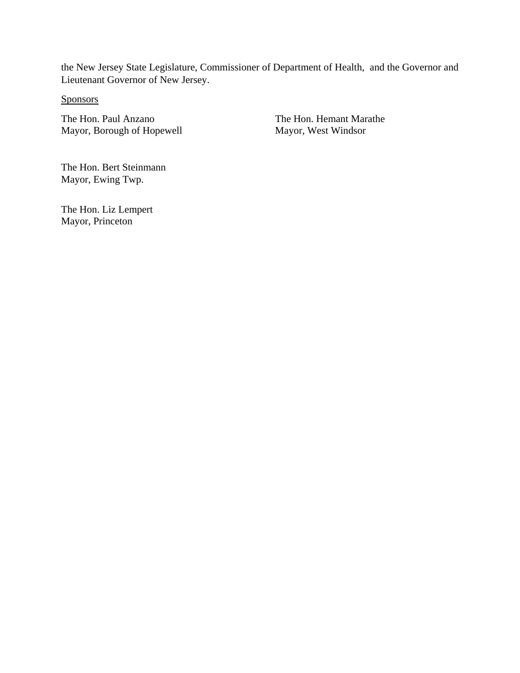the New Jersey State Legislature, Commissioner of Department of Health, and the Governor and Lieutenant Governor of New Jersey.

Sponsors

The Hon. Paul Anzano<br>
Mayor, Borough of Hopewell<br>
Mayor, West Windsor Mayor, Borough of Hopewell

The Hon. Bert Steinmann Mayor, Ewing Twp.

The Hon. Liz Lempert Mayor, Princeton